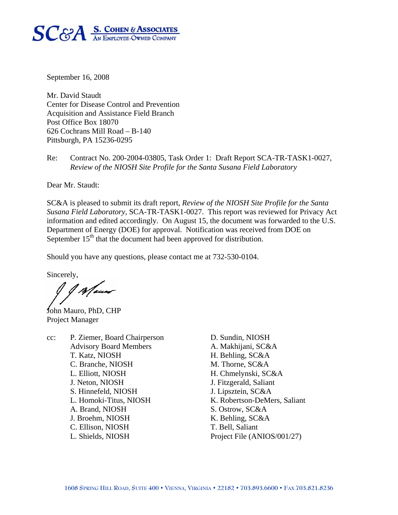

September 16, 2008

Mr. David Staudt Center for Disease Control and Prevention Acquisition and Assistance Field Branch Post Office Box 18070 626 Cochrans Mill Road – B-140 Pittsburgh, PA 15236-0295

Re: Contract No. 200-2004-03805, Task Order 1: Draft Report SCA-TR-TASK1-0027, *Review of the NIOSH Site Profile for the Santa Susana Field Laboratory* 

Dear Mr. Staudt:

SC&A is pleased to submit its draft report, *Review of the NIOSH Site Profile for the Santa Susana Field Laboratory,* SCA-TR-TASK1-0027. This report was reviewed for Privacy Act information and edited accordingly. On August 15, the document was forwarded to the U.S. Department of Energy (DOE) for approval. Notification was received from DOE on September  $15<sup>th</sup>$  that the document had been approved for distribution.

Should you have any questions, please contact me at 732-530-0104.

Sincerely,

1 p Maur

John Mauro, PhD, CHP Project Manager

cc: P. Ziemer, Board Chairperson D. Sundin, NIOSH Advisory Board Members A. Makhijani, SC&A T. Katz, NIOSH H. Behling, SC&A C. Branche, NIOSH M. Thorne, SC&A L. Elliott, NIOSH H. Chmelynski, SC&A J. Neton, NIOSH J. Fitzgerald, Saliant S. Hinnefeld, NIOSH J. Lipsztein, SC&A A. Brand, NIOSH S. Ostrow, SC&A J. Broehm, NIOSH K. Behling, SC&A C. Ellison, NIOSH T. Bell, Saliant

L. Homoki-Titus, NIOSH K. Robertson-DeMers, Saliant L. Shields, NIOSH Project File (ANIOS/001/27)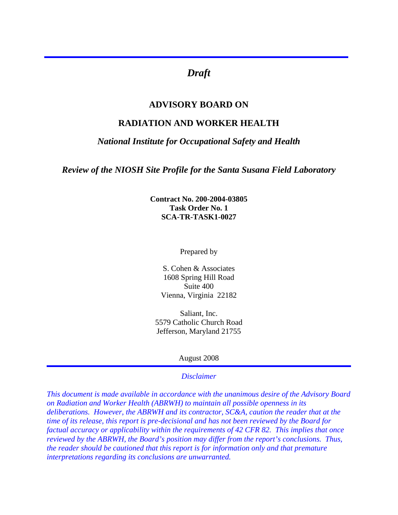# *Draft*

## **ADVISORY BOARD ON**

## **RADIATION AND WORKER HEALTH**

#### *National Institute for Occupational Safety and Health*

*Review of the NIOSH Site Profile for the Santa Susana Field Laboratory* 

**Contract No. 200-2004-03805 Task Order No. 1 SCA-TR-TASK1-0027**

Prepared by

S. Cohen & Associates 1608 Spring Hill Road Suite 400 Vienna, Virginia 22182

Saliant, Inc. 5579 Catholic Church Road Jefferson, Maryland 21755

#### August 2008

#### *Disclaimer*

*This document is made available in accordance with the unanimous desire of the Advisory Board on Radiation and Worker Health (ABRWH) to maintain all possible openness in its deliberations. However, the ABRWH and its contractor, SC&A, caution the reader that at the time of its release, this report is pre-decisional and has not been reviewed by the Board for factual accuracy or applicability within the requirements of 42 CFR 82. This implies that once reviewed by the ABRWH, the Board's position may differ from the report's conclusions. Thus, the reader should be cautioned that this report is for information only and that premature interpretations regarding its conclusions are unwarranted.*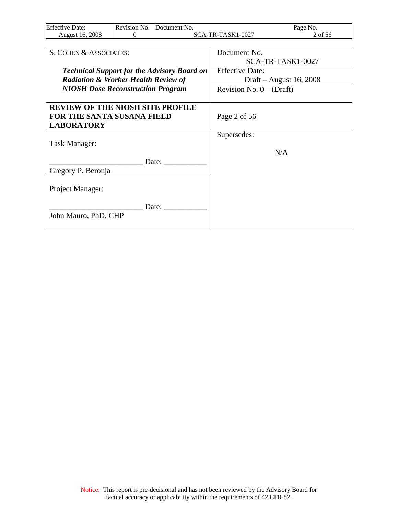| Effective<br>Date: | Revision No. | <b>Document</b> No.  | Page<br>N <sub>0</sub> . |
|--------------------|--------------|----------------------|--------------------------|
| 2008<br>August 16. |              | -TR-TASK1-0027<br>Ά. | ot 56                    |

| S. COHEN & ASSOCIATES:                             | Document No.               |
|----------------------------------------------------|----------------------------|
|                                                    | SCA-TR-TASK1-0027          |
| <b>Technical Support for the Advisory Board on</b> | <b>Effective Date:</b>     |
| <b>Radiation &amp; Worker Health Review of</b>     | Draft – August 16, 2008    |
| <b>NIOSH Dose Reconstruction Program</b>           | Revision No. $0 - (Draff)$ |
|                                                    |                            |
| <b>REVIEW OF THE NIOSH SITE PROFILE</b>            |                            |
| <b>FOR THE SANTA SUSANA FIELD</b>                  | Page 2 of 56               |
| <b>LABORATORY</b>                                  |                            |
|                                                    | Supersedes:                |
| Task Manager:                                      |                            |
|                                                    | N/A                        |
| Date:                                              |                            |
| Gregory P. Beronja                                 |                            |
|                                                    |                            |
| Project Manager:                                   |                            |
| Date:                                              |                            |
| John Mauro, PhD, CHP                               |                            |
|                                                    |                            |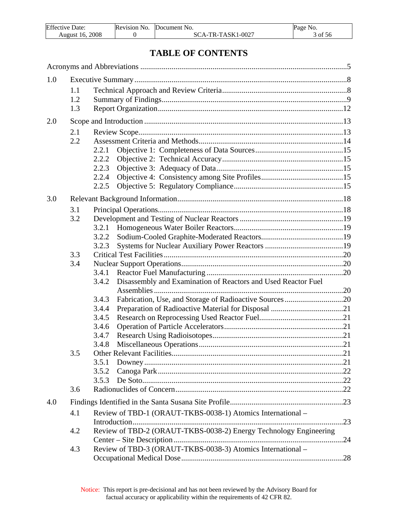| <b>Effective Date:</b> | Revision No. | Document No.      | Page No. |
|------------------------|--------------|-------------------|----------|
| August 16, 2008        |              | SCA-TR-TASK1-0027 | of 56    |

# **TABLE OF CONTENTS**

| 1.0 |     |                                                                        |     |
|-----|-----|------------------------------------------------------------------------|-----|
|     | 1.1 |                                                                        |     |
|     | 1.2 |                                                                        |     |
|     | 1.3 |                                                                        |     |
| 2.0 |     |                                                                        |     |
|     | 2.1 |                                                                        |     |
|     | 2.2 |                                                                        |     |
|     |     | 2.2.1                                                                  |     |
|     |     | 2.2.2                                                                  |     |
|     |     | 2.2.3                                                                  |     |
|     |     | 2.2.4                                                                  |     |
|     |     | 2.2.5                                                                  |     |
| 3.0 |     |                                                                        |     |
|     | 3.1 |                                                                        |     |
|     | 3.2 |                                                                        |     |
|     |     | 3.2.1                                                                  |     |
|     |     | 3.2.2                                                                  |     |
|     |     | 3.2.3                                                                  |     |
|     | 3.3 |                                                                        |     |
|     | 3.4 |                                                                        |     |
|     |     |                                                                        |     |
|     |     | Disassembly and Examination of Reactors and Used Reactor Fuel<br>3.4.2 |     |
|     |     |                                                                        |     |
|     |     | 3.4.3                                                                  |     |
|     |     | 3.4.4                                                                  |     |
|     |     | 3.4.5                                                                  |     |
|     |     | 3.4.6                                                                  |     |
|     |     | 3.4.7                                                                  |     |
|     |     | 3.4.8                                                                  |     |
|     | 3.5 | <b>Other Relevant Facilities.</b>                                      | .21 |
|     |     | 3.5.1                                                                  |     |
|     |     | 3.5.2                                                                  |     |
|     |     | 3.5.3                                                                  |     |
|     | 3.6 |                                                                        |     |
| 4.0 |     |                                                                        |     |
|     | 4.1 | Review of TBD-1 (ORAUT-TKBS-0038-1) Atomics International -            |     |
|     |     |                                                                        |     |
|     | 4.2 | Review of TBD-2 (ORAUT-TKBS-0038-2) Energy Technology Engineering      |     |
|     |     |                                                                        | .24 |
|     | 4.3 | Review of TBD-3 (ORAUT-TKBS-0038-3) Atomics International -            |     |
|     |     |                                                                        |     |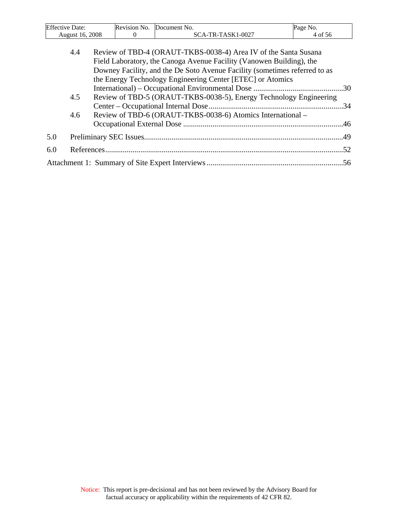| <b>Effective Date:</b> | Revision No. | Document No.      | Page No. |
|------------------------|--------------|-------------------|----------|
| August 16, 2008        |              | SCA-TR-TASK1-0027 | 4 of 56  |
|                        |              |                   |          |

|     | 4.4 | Review of TBD-4 (ORAUT-TKBS-0038-4) Area IV of the Santa Susana            |  |
|-----|-----|----------------------------------------------------------------------------|--|
|     |     | Field Laboratory, the Canoga Avenue Facility (Vanowen Building), the       |  |
|     |     | Downey Facility, and the De Soto Avenue Facility (sometimes referred to as |  |
|     |     | the Energy Technology Engineering Center [ETEC] or Atomics                 |  |
|     |     |                                                                            |  |
|     | 4.5 | Review of TBD-5 (ORAUT-TKBS-0038-5), Energy Technology Engineering         |  |
|     |     |                                                                            |  |
|     | 4.6 | Review of TBD-6 (ORAUT-TKBS-0038-6) Atomics International –                |  |
|     |     |                                                                            |  |
| 5.0 |     |                                                                            |  |
| 6.0 |     |                                                                            |  |
|     |     |                                                                            |  |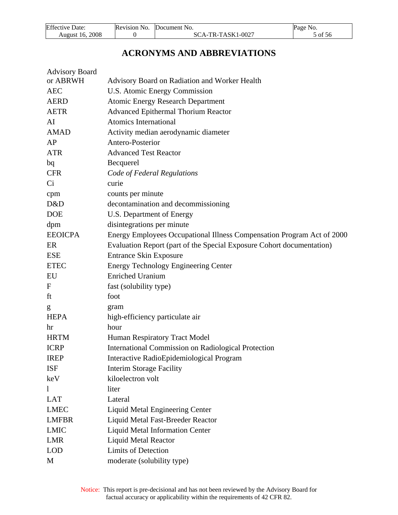<span id="page-5-0"></span>

| <b>Effective Date:</b> | Revision No. Document No. | Page No. |
|------------------------|---------------------------|----------|
| August 16, 2008        | $SCA-TR-TASK1-0027$       | 5 of 56  |

# **ACRONYMS AND ABBREVIATIONS**

| <b>Advisory Board</b> |                                                                        |
|-----------------------|------------------------------------------------------------------------|
| or ABRWH              | Advisory Board on Radiation and Worker Health                          |
| <b>AEC</b>            | U.S. Atomic Energy Commission                                          |
| <b>AERD</b>           | <b>Atomic Energy Research Department</b>                               |
| <b>AETR</b>           | <b>Advanced Epithermal Thorium Reactor</b>                             |
| AI                    | Atomics International                                                  |
| <b>AMAD</b>           | Activity median aerodynamic diameter                                   |
| AP                    | Antero-Posterior                                                       |
| <b>ATR</b>            | <b>Advanced Test Reactor</b>                                           |
| bq                    | Becquerel                                                              |
| <b>CFR</b>            | Code of Federal Regulations                                            |
| Ci                    | curie                                                                  |
| cpm                   | counts per minute                                                      |
| D&D                   | decontamination and decommissioning                                    |
| <b>DOE</b>            | U.S. Department of Energy                                              |
| dpm                   | disintegrations per minute                                             |
| <b>EEOICPA</b>        | Energy Employees Occupational Illness Compensation Program Act of 2000 |
| ER                    | Evaluation Report (part of the Special Exposure Cohort documentation)  |
| <b>ESE</b>            | <b>Entrance Skin Exposure</b>                                          |
| <b>ETEC</b>           | <b>Energy Technology Engineering Center</b>                            |
| EU                    | <b>Enriched Uranium</b>                                                |
| $\boldsymbol{F}$      | fast (solubility type)                                                 |
| ft                    | foot                                                                   |
| g                     | gram                                                                   |
| <b>HEPA</b>           | high-efficiency particulate air                                        |
| hr                    | hour                                                                   |
| <b>HRTM</b>           | Human Respiratory Tract Model                                          |
| <b>ICRP</b>           | <b>International Commission on Radiological Protection</b>             |
| <b>IREP</b>           | Interactive RadioEpidemiological Program                               |
| <b>ISF</b>            | <b>Interim Storage Facility</b>                                        |
| keV                   | kiloelectron volt                                                      |
| $\mathbf{l}$          | liter                                                                  |
| <b>LAT</b>            | Lateral                                                                |
| <b>LMEC</b>           | Liquid Metal Engineering Center                                        |
| <b>LMFBR</b>          | Liquid Metal Fast-Breeder Reactor                                      |
| <b>LMIC</b>           | <b>Liquid Metal Information Center</b>                                 |
| <b>LMR</b>            | <b>Liquid Metal Reactor</b>                                            |
| <b>LOD</b>            | Limits of Detection                                                    |
| M                     | moderate (solubility type)                                             |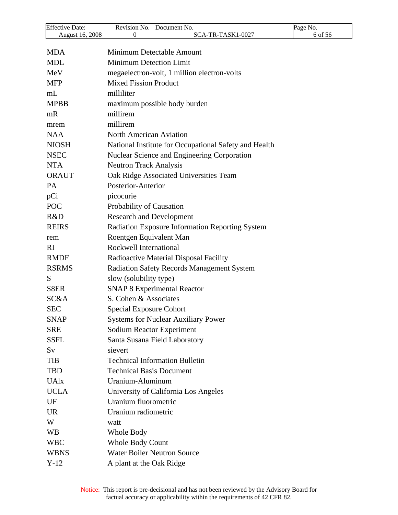| <b>Effective Date:</b> | Revision No.<br>Document No.                          | Page No. |
|------------------------|-------------------------------------------------------|----------|
| August 16, 2008        | $\theta$<br>SCA-TR-TASK1-0027                         | 6 of 56  |
| <b>MDA</b>             | Minimum Detectable Amount                             |          |
| <b>MDL</b>             | <b>Minimum Detection Limit</b>                        |          |
| MeV                    | megaelectron-volt, 1 million electron-volts           |          |
| <b>MFP</b>             | <b>Mixed Fission Product</b>                          |          |
| mL                     | milliliter                                            |          |
| <b>MPBB</b>            | maximum possible body burden                          |          |
| mR                     | millirem                                              |          |
| mrem                   | millirem                                              |          |
| <b>NAA</b>             | <b>North American Aviation</b>                        |          |
| <b>NIOSH</b>           | National Institute for Occupational Safety and Health |          |
| <b>NSEC</b>            | Nuclear Science and Engineering Corporation           |          |
| <b>NTA</b>             | <b>Neutron Track Analysis</b>                         |          |
| <b>ORAUT</b>           | Oak Ridge Associated Universities Team                |          |
| <b>PA</b>              | Posterior-Anterior                                    |          |
| pCi                    | picocurie                                             |          |
| <b>POC</b>             | Probability of Causation                              |          |
| R&D                    | <b>Research and Development</b>                       |          |
| <b>REIRS</b>           | Radiation Exposure Information Reporting System       |          |
| rem                    | Roentgen Equivalent Man                               |          |
| RI.                    | Rockwell International                                |          |
| <b>RMDF</b>            | Radioactive Material Disposal Facility                |          |
| <b>RSRMS</b>           | <b>Radiation Safety Records Management System</b>     |          |
| S                      | slow (solubility type)                                |          |
| S8ER                   | <b>SNAP 8 Experimental Reactor</b>                    |          |
| SC&A                   | S. Cohen & Associates                                 |          |
| <b>SEC</b>             | <b>Special Exposure Cohort</b>                        |          |
| <b>SNAP</b>            | <b>Systems for Nuclear Auxiliary Power</b>            |          |
| <b>SRE</b>             | <b>Sodium Reactor Experiment</b>                      |          |
| <b>SSFL</b>            | Santa Susana Field Laboratory                         |          |
| Sv                     | sievert                                               |          |
| TIB                    | <b>Technical Information Bulletin</b>                 |          |
| TBD                    | <b>Technical Basis Document</b>                       |          |
| <b>UAlx</b>            | Uranium-Aluminum                                      |          |
| <b>UCLA</b>            | University of California Los Angeles                  |          |
| UF                     | Uranium fluorometric                                  |          |
| <b>UR</b>              | Uranium radiometric                                   |          |
| W                      | watt                                                  |          |
| <b>WB</b>              | Whole Body                                            |          |
| <b>WBC</b>             | <b>Whole Body Count</b>                               |          |
| <b>WBNS</b>            | <b>Water Boiler Neutron Source</b>                    |          |
| $Y-12$                 | A plant at the Oak Ridge                              |          |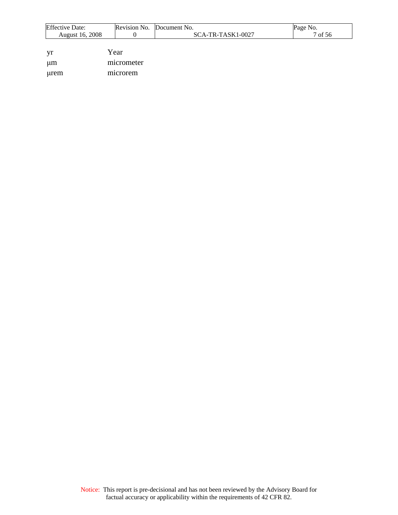| <b>Effective Date:</b> |            | Revision No. Document No. | Page No. |
|------------------------|------------|---------------------------|----------|
| August 16, 2008        |            | $SCA-TR-TASK1-0027$       | 7 of 56  |
|                        |            |                           |          |
| yr                     | Year       |                           |          |
| um                     | micrometer |                           |          |

μrem microrem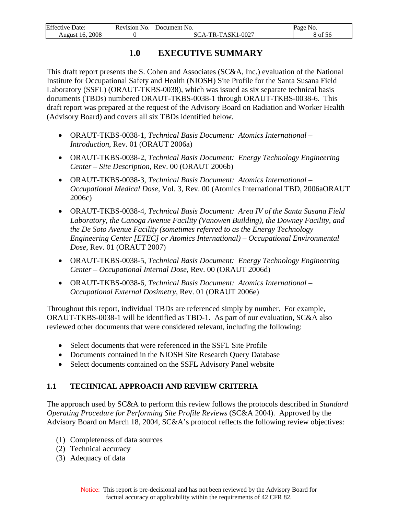<span id="page-8-0"></span>

| <b>Effective Date:</b> | Revision No. | Document No.      | Page No. |
|------------------------|--------------|-------------------|----------|
| August 16. 2008        |              | SCA-TR-TASK1-0027 | 8 of 56  |

# **1.0 EXECUTIVE SUMMARY**

This draft report presents the S. Cohen and Associates (SC&A, Inc.) evaluation of the National Institute for Occupational Safety and Health (NIOSH) Site Profile for the Santa Susana Field Laboratory (SSFL) (ORAUT-TKBS-0038), which was issued as six separate technical basis documents (TBDs) numbered ORAUT-TKBS-0038-1 through ORAUT-TKBS-0038-6. This draft report was prepared at the request of the Advisory Board on Radiation and Worker Health (Advisory Board) and covers all six TBDs identified below.

- ORAUT-TKBS-0038-1, *Technical Basis Document: Atomics International Introduction*, Rev. 01 (ORAUT 2006a)
- ORAUT-TKBS-0038-2, *Technical Basis Document: Energy Technology Engineering Center – Site Description*, Rev. 00 (ORAUT 2006b)
- ORAUT-TKBS-0038-3, *Technical Basis Document: Atomics International Occupational Medical Dose*, Vol. 3, Rev. 00 (Atomics International TBD, 2006aORAUT 2006c)
- ORAUT-TKBS-0038-4, *Technical Basis Document: Area IV of the Santa Susana Field Laboratory, the Canoga Avenue Facility (Vanowen Building), the Downey Facility, and the De Soto Avenue Facility (sometimes referred to as the Energy Technology Engineering Center [ETEC] or Atomics International) – Occupational Environmental Dose*, Rev. 01 (ORAUT 2007)
- ORAUT-TKBS-0038-5, *Technical Basis Document: Energy Technology Engineering Center – Occupational Internal Dose*, Rev. 00 (ORAUT 2006d)
- ORAUT-TKBS-0038-6, *Technical Basis Document: Atomics International Occupational External Dosimetry*, Rev. 01 (ORAUT 2006e)

Throughout this report, individual TBDs are referenced simply by number. For example, ORAUT-TKBS-0038-1 will be identified as TBD-1. As part of our evaluation, SC&A also reviewed other documents that were considered relevant, including the following:

- Select documents that were referenced in the SSFL Site Profile
- Documents contained in the NIOSH Site Research Query Database
- Select documents contained on the SSFL Advisory Panel website

## **1.1 TECHNICAL APPROACH AND REVIEW CRITERIA**

The approach used by SC&A to perform this review follows the protocols described in *Standard Operating Procedure for Performing Site Profile Reviews (SC&A 2004). Approved by the* Advisory Board on March 18, 2004, SC&A's protocol reflects the following review objectives:

- (1) Completeness of data sources
- (2) Technical accuracy
- (3) Adequacy of data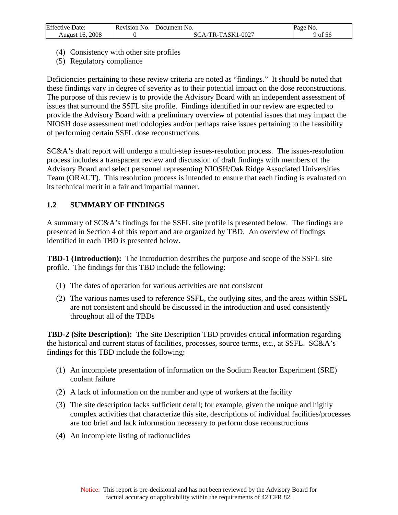<span id="page-9-0"></span>

| Effective 1<br>Date: | Revision No. | Document<br>' No.                     | Page No. |
|----------------------|--------------|---------------------------------------|----------|
| 2008<br>August 16.   |              | -TR-TASK1-0027<br>$\Delta$ -i.<br>SC. | of 56    |

- (4) Consistency with other site profiles
- (5) Regulatory compliance

Deficiencies pertaining to these review criteria are noted as "findings." It should be noted that these findings vary in degree of severity as to their potential impact on the dose reconstructions. The purpose of this review is to provide the Advisory Board with an independent assessment of issues that surround the SSFL site profile. Findings identified in our review are expected to provide the Advisory Board with a preliminary overview of potential issues that may impact the NIOSH dose assessment methodologies and/or perhaps raise issues pertaining to the feasibility of performing certain SSFL dose reconstructions.

SC&A's draft report will undergo a multi-step issues-resolution process. The issues-resolution process includes a transparent review and discussion of draft findings with members of the Advisory Board and select personnel representing NIOSH/Oak Ridge Associated Universities Team (ORAUT). This resolution process is intended to ensure that each finding is evaluated on its technical merit in a fair and impartial manner.

## **1.2 SUMMARY OF FINDINGS**

A summary of SC&A's findings for the SSFL site profile is presented below. The findings are presented in Section 4 of this report and are organized by TBD. An overview of findings identified in each TBD is presented below.

**TBD-1 (Introduction):** The Introduction describes the purpose and scope of the SSFL site profile. The findings for this TBD include the following:

- (1) The dates of operation for various activities are not consistent
- (2) The various names used to reference SSFL, the outlying sites, and the areas within SSFL are not consistent and should be discussed in the introduction and used consistently throughout all of the TBDs

**TBD-2 (Site Description):** The Site Description TBD provides critical information regarding the historical and current status of facilities, processes, source terms, etc., at SSFL. SC&A's findings for this TBD include the following:

- (1) An incomplete presentation of information on the Sodium Reactor Experiment (SRE) coolant failure
- (2) A lack of information on the number and type of workers at the facility
- (3) The site description lacks sufficient detail; for example, given the unique and highly complex activities that characterize this site, descriptions of individual facilities/processes are too brief and lack information necessary to perform dose reconstructions
- (4) An incomplete listing of radionuclides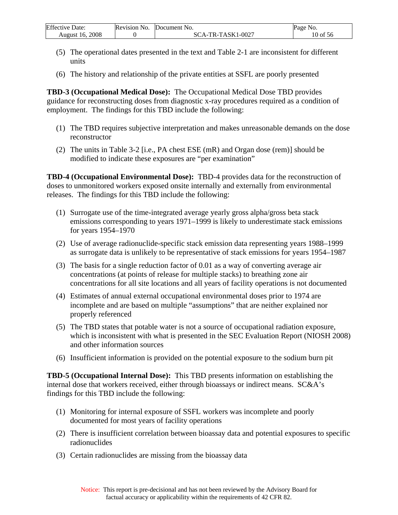| Effective<br>Date: | <b>Revision No.</b> | Document<br>-NO    | Page No. |
|--------------------|---------------------|--------------------|----------|
| 2008<br>August 16. |                     | $CA-TR-TASK1-0027$ | 10 of 56 |

- (5) The operational dates presented in the text and Table 2-1 are inconsistent for different units
- (6) The history and relationship of the private entities at SSFL are poorly presented

**TBD-3 (Occupational Medical Dose):** The Occupational Medical Dose TBD provides guidance for reconstructing doses from diagnostic x-ray procedures required as a condition of employment. The findings for this TBD include the following:

- (1) The TBD requires subjective interpretation and makes unreasonable demands on the dose reconstructor
- (2) The units in Table 3-2 [i.e., PA chest ESE (mR) and Organ dose (rem)] should be modified to indicate these exposures are "per examination"

**TBD-4 (Occupational Environmental Dose):** TBD-4 provides data for the reconstruction of doses to unmonitored workers exposed onsite internally and externally from environmental releases. The findings for this TBD include the following:

- (1) Surrogate use of the time-integrated average yearly gross alpha/gross beta stack emissions corresponding to years 1971–1999 is likely to underestimate stack emissions for years 1954–1970
- (2) Use of average radionuclide-specific stack emission data representing years 1988–1999 as surrogate data is unlikely to be representative of stack emissions for years 1954–1987
- (3) The basis for a single reduction factor of 0.01 as a way of converting average air concentrations (at points of release for multiple stacks) to breathing zone air concentrations for all site locations and all years of facility operations is not documented
- (4) Estimates of annual external occupational environmental doses prior to 1974 are incomplete and are based on multiple "assumptions" that are neither explained nor properly referenced
- (5) The TBD states that potable water is not a source of occupational radiation exposure, which is inconsistent with what is presented in the SEC Evaluation Report (NIOSH 2008) and other information sources
- (6) Insufficient information is provided on the potential exposure to the sodium burn pit

**TBD-5 (Occupational Internal Dose):** This TBD presents information on establishing the internal dose that workers received, either through bioassays or indirect means. SC&A's findings for this TBD include the following:

- (1) Monitoring for internal exposure of SSFL workers was incomplete and poorly documented for most years of facility operations
- (2) There is insufficient correlation between bioassay data and potential exposures to specific radionuclides
- (3) Certain radionuclides are missing from the bioassay data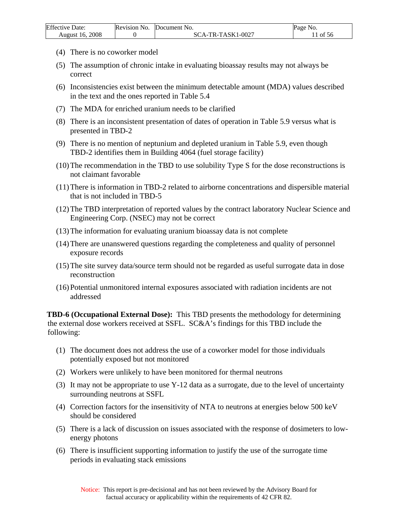| Effective             | Revision No. | Document                           | Page      |
|-----------------------|--------------|------------------------------------|-----------|
| Date:                 |              | * No.                              | No.       |
| 2008<br>August<br>16. |              | $\sqrt{-TASK1-0027}$<br>$\Delta$ - | ΟĪ<br>-56 |

- (4) There is no coworker model
- (5) The assumption of chronic intake in evaluating bioassay results may not always be correct
- (6) Inconsistencies exist between the minimum detectable amount (MDA) values described in the text and the ones reported in Table 5.4
- (7) The MDA for enriched uranium needs to be clarified
- (8) There is an inconsistent presentation of dates of operation in Table 5.9 versus what is presented in TBD-2
- (9) There is no mention of neptunium and depleted uranium in Table 5.9, even though TBD-2 identifies them in Building 4064 (fuel storage facility)
- (10)The recommendation in the TBD to use solubility Type S for the dose reconstructions is not claimant favorable
- (11)There is information in TBD-2 related to airborne concentrations and dispersible material that is not included in TBD-5
- (12)The TBD interpretation of reported values by the contract laboratory Nuclear Science and Engineering Corp. (NSEC) may not be correct
- (13)The information for evaluating uranium bioassay data is not complete
- (14)There are unanswered questions regarding the completeness and quality of personnel exposure records
- (15)The site survey data/source term should not be regarded as useful surrogate data in dose reconstruction
- (16)Potential unmonitored internal exposures associated with radiation incidents are not addressed

**TBD-6 (Occupational External Dose):** This TBD presents the methodology for determining the external dose workers received at SSFL. SC&A's findings for this TBD include the following:

- (1) The document does not address the use of a coworker model for those individuals potentially exposed but not monitored
- (2) Workers were unlikely to have been monitored for thermal neutrons
- (3) It may not be appropriate to use Y-12 data as a surrogate, due to the level of uncertainty surrounding neutrons at SSFL
- (4) Correction factors for the insensitivity of NTA to neutrons at energies below 500 keV should be considered
- (5) There is a lack of discussion on issues associated with the response of dosimeters to lowenergy photons
- (6) There is insufficient supporting information to justify the use of the surrogate time periods in evaluating stack emissions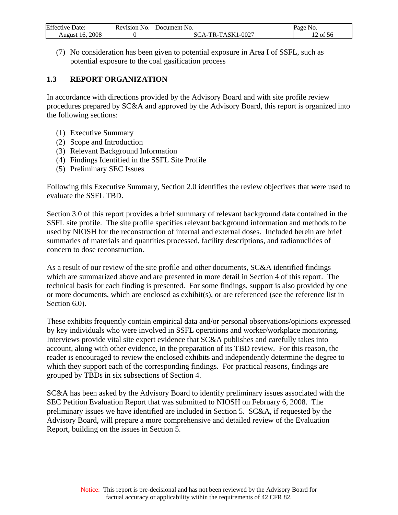<span id="page-12-0"></span>

| Effective<br>Date: | Revision No. | <b>IDocument No.</b> | Page<br>N <sub>O</sub> . |
|--------------------|--------------|----------------------|--------------------------|
| 2008               |              | TR-TASK1-0027        | $\sim$ $\sim$            |
| August 16.         |              | `Д _`                | of 56                    |

(7) No consideration has been given to potential exposure in Area I of SSFL, such as potential exposure to the coal gasification process

### **1.3 REPORT ORGANIZATION**

In accordance with directions provided by the Advisory Board and with site profile review procedures prepared by SC&A and approved by the Advisory Board, this report is organized into the following sections:

- (1) Executive Summary
- (2) Scope and Introduction
- (3) Relevant Background Information
- (4) Findings Identified in the SSFL Site Profile
- (5) Preliminary SEC Issues

Following this Executive Summary, Section 2.0 identifies the review objectives that were used to evaluate the SSFL TBD.

Section 3.0 of this report provides a brief summary of relevant background data contained in the SSFL site profile. The site profile specifies relevant background information and methods to be used by NIOSH for the reconstruction of internal and external doses. Included herein are brief summaries of materials and quantities processed, facility descriptions, and radionuclides of concern to dose reconstruction.

As a result of our review of the site profile and other documents, SC&A identified findings which are summarized above and are presented in more detail in Section 4 of this report. The technical basis for each finding is presented. For some findings, support is also provided by one or more documents, which are enclosed as exhibit(s), or are referenced (see the reference list in Section 6.0).

These exhibits frequently contain empirical data and/or personal observations/opinions expressed by key individuals who were involved in SSFL operations and worker/workplace monitoring. Interviews provide vital site expert evidence that SC&A publishes and carefully takes into account, along with other evidence, in the preparation of its TBD review. For this reason, the reader is encouraged to review the enclosed exhibits and independently determine the degree to which they support each of the corresponding findings. For practical reasons, findings are grouped by TBDs in six subsections of Section 4.

SC&A has been asked by the Advisory Board to identify preliminary issues associated with the SEC Petition Evaluation Report that was submitted to NIOSH on February 6, 2008. The preliminary issues we have identified are included in Section 5. SC&A, if requested by the Advisory Board, will prepare a more comprehensive and detailed review of the Evaluation Report, building on the issues in Section 5.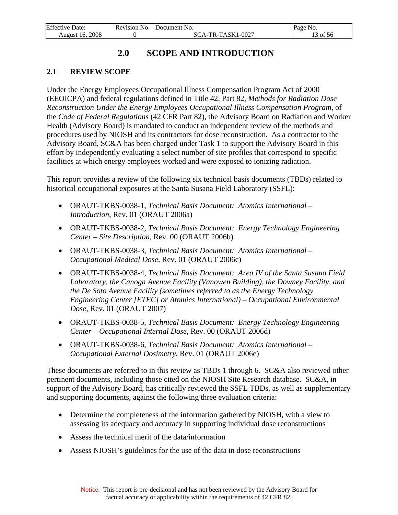# **2.0 SCOPE AND INTRODUCTION**

## <span id="page-13-0"></span>**2.1 REVIEW SCOPE**

Under the Energy Employees Occupational Illness Compensation Program Act of 2000 (EEOICPA) and federal regulations defined in Title 42, Part 82, *Methods for Radiation Dose Reconstruction Under the Energy Employees Occupational Illness Compensation Program,* of the *Code of Federal Regulations* (42 CFR Part 82), the Advisory Board on Radiation and Worker Health (Advisory Board) is mandated to conduct an independent review of the methods and procedures used by NIOSH and its contractors for dose reconstruction. As a contractor to the Advisory Board, SC&A has been charged under Task 1 to support the Advisory Board in this effort by independently evaluating a select number of site profiles that correspond to specific facilities at which energy employees worked and were exposed to ionizing radiation.

This report provides a review of the following six technical basis documents (TBDs) related to historical occupational exposures at the Santa Susana Field Laboratory (SSFL):

- ORAUT-TKBS-0038-1, *Technical Basis Document: Atomics International Introduction*, Rev. 01 (ORAUT 2006a)
- ORAUT-TKBS-0038-2, *Technical Basis Document: Energy Technology Engineering Center – Site Description*, Rev. 00 (ORAUT 2006b)
- ORAUT-TKBS-0038-3, *Technical Basis Document: Atomics International Occupational Medical Dose*, Rev. 01 (ORAUT 2006c)
- ORAUT-TKBS-0038-4, *Technical Basis Document: Area IV of the Santa Susana Field Laboratory, the Canoga Avenue Facility (Vanowen Building), the Downey Facility, and the De Soto Avenue Facility (sometimes referred to as the Energy Technology Engineering Center [ETEC] or Atomics International) – Occupational Environmental Dose*, Rev. 01 (ORAUT 2007)
- ORAUT-TKBS-0038-5, *Technical Basis Document: Energy Technology Engineering Center – Occupational Internal Dose*, Rev. 00 (ORAUT 2006d)
- ORAUT-TKBS-0038-6, *Technical Basis Document: Atomics International Occupational External Dosimetry*, Rev. 01 (ORAUT 2006e)

These documents are referred to in this review as TBDs 1 through 6. SC&A also reviewed other pertinent documents, including those cited on the NIOSH Site Research database. SC&A, in support of the Advisory Board, has critically reviewed the SSFL TBDs, as well as supplementary and supporting documents, against the following three evaluation criteria:

- Determine the completeness of the information gathered by NIOSH, with a view to assessing its adequacy and accuracy in supporting individual dose reconstructions
- Assess the technical merit of the data/information
- Assess NIOSH's guidelines for the use of the data in dose reconstructions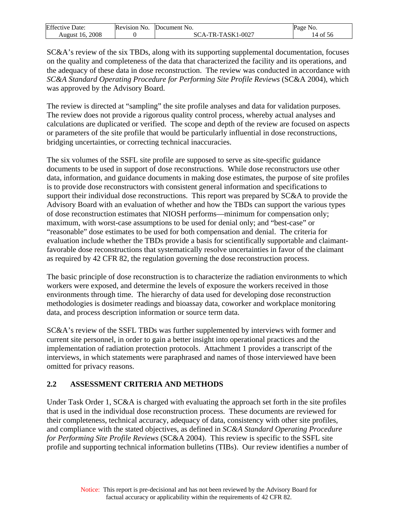<span id="page-14-0"></span>

| Effective          | Revision No. | ' No.                                    | Page     |
|--------------------|--------------|------------------------------------------|----------|
| Date:              |              | Document                                 | NO.      |
| 2008<br>August 16. |              | TR-TASK1-U<br>$.1 - 0027$<br>\`{<br>`A - | 14 of 56 |

SC&A's review of the six TBDs, along with its supporting supplemental documentation, focuses on the quality and completeness of the data that characterized the facility and its operations, and the adequacy of these data in dose reconstruction. The review was conducted in accordance with *SC&A Standard Operating Procedure for Performing Site Profile Reviews* (SC&A 2004), which was approved by the Advisory Board.

The review is directed at "sampling" the site profile analyses and data for validation purposes. The review does not provide a rigorous quality control process, whereby actual analyses and calculations are duplicated or verified. The scope and depth of the review are focused on aspects or parameters of the site profile that would be particularly influential in dose reconstructions, bridging uncertainties, or correcting technical inaccuracies.

The six volumes of the SSFL site profile are supposed to serve as site-specific guidance documents to be used in support of dose reconstructions. While dose reconstructors use other data, information, and guidance documents in making dose estimates, the purpose of site profiles is to provide dose reconstructors with consistent general information and specifications to support their individual dose reconstructions. This report was prepared by SC&A to provide the Advisory Board with an evaluation of whether and how the TBDs can support the various types of dose reconstruction estimates that NIOSH performs—minimum for compensation only; maximum, with worst-case assumptions to be used for denial only; and "best-case" or "reasonable" dose estimates to be used for both compensation and denial. The criteria for evaluation include whether the TBDs provide a basis for scientifically supportable and claimantfavorable dose reconstructions that systematically resolve uncertainties in favor of the claimant as required by 42 CFR 82, the regulation governing the dose reconstruction process.

The basic principle of dose reconstruction is to characterize the radiation environments to which workers were exposed, and determine the levels of exposure the workers received in those environments through time. The hierarchy of data used for developing dose reconstruction methodologies is dosimeter readings and bioassay data, coworker and workplace monitoring data, and process description information or source term data.

SC&A's review of the SSFL TBDs was further supplemented by interviews with former and current site personnel, in order to gain a better insight into operational practices and the implementation of radiation protection protocols. Attachment 1 provides a transcript of the interviews, in which statements were paraphrased and names of those interviewed have been omitted for privacy reasons.

## **2.2 ASSESSMENT CRITERIA AND METHODS**

Under Task Order 1, SC&A is charged with evaluating the approach set forth in the site profiles that is used in the individual dose reconstruction process. These documents are reviewed for their completeness, technical accuracy, adequacy of data, consistency with other site profiles, and compliance with the stated objectives, as defined in *SC&A Standard Operating Procedure for Performing Site Profile Reviews* (SC&A 2004). This review is specific to the SSFL site profile and supporting technical information bulletins (TIBs). Our review identifies a number of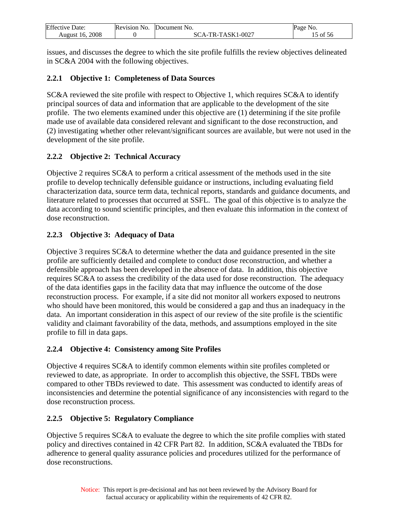<span id="page-15-0"></span>

| Effective              | Revision | Document                       | Page      |
|------------------------|----------|--------------------------------|-----------|
| Jate:                  | NO.      | NO.                            | No        |
| 2008<br>-16.<br>August |          | $1 - 0027$<br>$TASK1$ -<br>TR- | -56<br>ΟĪ |

issues, and discusses the degree to which the site profile fulfills the review objectives delineated in SC&A 2004 with the following objectives.

## **2.2.1 Objective 1: Completeness of Data Sources**

SC&A reviewed the site profile with respect to Objective 1, which requires SC&A to identify principal sources of data and information that are applicable to the development of the site profile. The two elements examined under this objective are (1) determining if the site profile made use of available data considered relevant and significant to the dose reconstruction, and (2) investigating whether other relevant/significant sources are available, but were not used in the development of the site profile.

## **2.2.2 Objective 2: Technical Accuracy**

Objective 2 requires SC&A to perform a critical assessment of the methods used in the site profile to develop technically defensible guidance or instructions, including evaluating field characterization data, source term data, technical reports, standards and guidance documents, and literature related to processes that occurred at SSFL. The goal of this objective is to analyze the data according to sound scientific principles, and then evaluate this information in the context of dose reconstruction.

## **2.2.3 Objective 3: Adequacy of Data**

Objective 3 requires SC&A to determine whether the data and guidance presented in the site profile are sufficiently detailed and complete to conduct dose reconstruction, and whether a defensible approach has been developed in the absence of data. In addition, this objective requires SC&A to assess the credibility of the data used for dose reconstruction. The adequacy of the data identifies gaps in the facility data that may influence the outcome of the dose reconstruction process. For example, if a site did not monitor all workers exposed to neutrons who should have been monitored, this would be considered a gap and thus an inadequacy in the data. An important consideration in this aspect of our review of the site profile is the scientific validity and claimant favorability of the data, methods, and assumptions employed in the site profile to fill in data gaps.

#### **2.2.4 Objective 4: Consistency among Site Profiles**

Objective 4 requires SC&A to identify common elements within site profiles completed or reviewed to date, as appropriate. In order to accomplish this objective, the SSFL TBDs were compared to other TBDs reviewed to date. This assessment was conducted to identify areas of inconsistencies and determine the potential significance of any inconsistencies with regard to the dose reconstruction process.

#### **2.2.5 Objective 5: Regulatory Compliance**

Objective 5 requires SC&A to evaluate the degree to which the site profile complies with stated policy and directives contained in 42 CFR Part 82. In addition, SC&A evaluated the TBDs for adherence to general quality assurance policies and procedures utilized for the performance of dose reconstructions.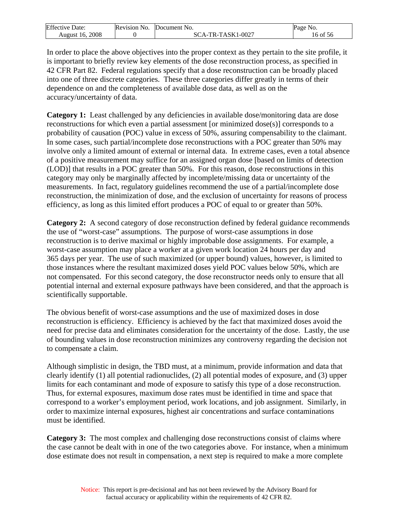| Effective          | Revision No. | `No.                                     | Page     |
|--------------------|--------------|------------------------------------------|----------|
| Date:              |              | Document                                 | NO.      |
| 2008<br>August 16. |              | TR-TASK1-U<br>$.1 - 0027$<br>\`{<br>`A - | 16 of 56 |

In order to place the above objectives into the proper context as they pertain to the site profile, it is important to briefly review key elements of the dose reconstruction process, as specified in 42 CFR Part 82. Federal regulations specify that a dose reconstruction can be broadly placed into one of three discrete categories. These three categories differ greatly in terms of their dependence on and the completeness of available dose data, as well as on the accuracy/uncertainty of data.

**Category 1:** Least challenged by any deficiencies in available dose/monitoring data are dose reconstructions for which even a partial assessment [or minimized dose(s)] corresponds to a probability of causation (POC) value in excess of 50%, assuring compensability to the claimant. In some cases, such partial/incomplete dose reconstructions with a POC greater than 50% may involve only a limited amount of external or internal data. In extreme cases, even a total absence of a positive measurement may suffice for an assigned organ dose [based on limits of detection (LOD)] that results in a POC greater than 50%. For this reason, dose reconstructions in this category may only be marginally affected by incomplete/missing data or uncertainty of the measurements. In fact, regulatory guidelines recommend the use of a partial/incomplete dose reconstruction, the minimization of dose, and the exclusion of uncertainty for reasons of process efficiency, as long as this limited effort produces a POC of equal to or greater than 50%.

**Category 2:** A second category of dose reconstruction defined by federal guidance recommends the use of "worst-case" assumptions. The purpose of worst-case assumptions in dose reconstruction is to derive maximal or highly improbable dose assignments. For example, a worst-case assumption may place a worker at a given work location 24 hours per day and 365 days per year. The use of such maximized (or upper bound) values, however, is limited to those instances where the resultant maximized doses yield POC values below 50%, which are not compensated. For this second category, the dose reconstructor needs only to ensure that all potential internal and external exposure pathways have been considered, and that the approach is scientifically supportable.

The obvious benefit of worst-case assumptions and the use of maximized doses in dose reconstruction is efficiency. Efficiency is achieved by the fact that maximized doses avoid the need for precise data and eliminates consideration for the uncertainty of the dose. Lastly, the use of bounding values in dose reconstruction minimizes any controversy regarding the decision not to compensate a claim.

Although simplistic in design, the TBD must, at a minimum, provide information and data that clearly identify (1) all potential radionuclides, (2) all potential modes of exposure, and (3) upper limits for each contaminant and mode of exposure to satisfy this type of a dose reconstruction. Thus, for external exposures, maximum dose rates must be identified in time and space that correspond to a worker's employment period, work locations, and job assignment. Similarly, in order to maximize internal exposures, highest air concentrations and surface contaminations must be identified.

**Category 3:** The most complex and challenging dose reconstructions consist of claims where the case cannot be dealt with in one of the two categories above. For instance, when a minimum dose estimate does not result in compensation, a next step is required to make a more complete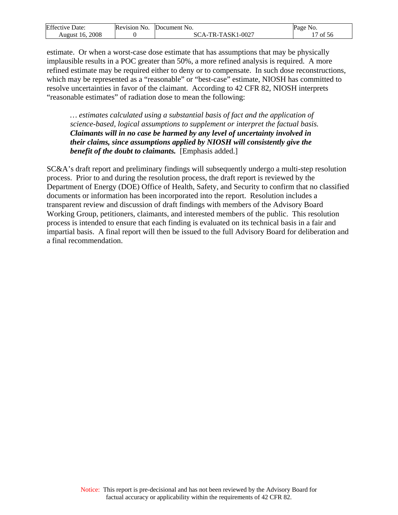| Effective<br>Date: | <b>Revision No.</b> | <b>Document</b> No.               | Page<br>NO.                       |
|--------------------|---------------------|-----------------------------------|-----------------------------------|
| 2008<br>August 16. |                     | -TASK1-0027<br>$TR_{-}$<br>`А - 1 | $\sim$ $\sim$ $\sim$<br>ΟĪ<br>-56 |

estimate. Or when a worst-case dose estimate that has assumptions that may be physically implausible results in a POC greater than 50%, a more refined analysis is required. A more refined estimate may be required either to deny or to compensate. In such dose reconstructions, which may be represented as a "reasonable" or "best-case" estimate, NIOSH has committed to resolve uncertainties in favor of the claimant. According to 42 CFR 82, NIOSH interprets "reasonable estimates" of radiation dose to mean the following:

*… estimates calculated using a substantial basis of fact and the application of science-based, logical assumptions to supplement or interpret the factual basis. Claimants will in no case be harmed by any level of uncertainty involved in their claims, since assumptions applied by NIOSH will consistently give the benefit of the doubt to claimants.* [Emphasis added.]

SC&A's draft report and preliminary findings will subsequently undergo a multi-step resolution process. Prior to and during the resolution process, the draft report is reviewed by the Department of Energy (DOE) Office of Health, Safety, and Security to confirm that no classified documents or information has been incorporated into the report. Resolution includes a transparent review and discussion of draft findings with members of the Advisory Board Working Group, petitioners, claimants, and interested members of the public. This resolution process is intended to ensure that each finding is evaluated on its technical basis in a fair and impartial basis. A final report will then be issued to the full Advisory Board for deliberation and a final recommendation.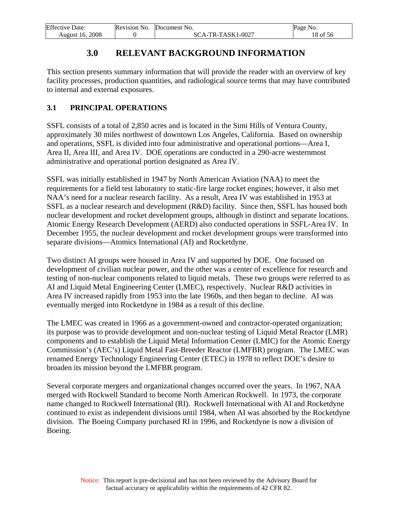<span id="page-18-0"></span>

| Effective              | Revision | <b>Document</b> No.           | Page     |
|------------------------|----------|-------------------------------|----------|
| Date:                  | NO.      |                               | NO.      |
| 2008<br>-16.<br>August |          | -TASK1-0027<br>$TR-$ .<br>`А. | 18 of 56 |

# **3.0 RELEVANT BACKGROUND INFORMATION**

This section presents summary information that will provide the reader with an overview of key facility processes, production quantities, and radiological source terms that may have contributed to internal and external exposures.

## **3.1 PRINCIPAL OPERATIONS**

SSFL consists of a total of 2,850 acres and is located in the Simi Hills of Ventura County, approximately 30 miles northwest of downtown Los Angeles, California. Based on ownership and operations, SSFL is divided into four administrative and operational portions—Area I, Area II, Area III, and Area IV. DOE operations are conducted in a 290-acre westernmost administrative and operational portion designated as Area IV.

SSFL was initially established in 1947 by North American Aviation (NAA) to meet the requirements for a field test laboratory to static-fire large rocket engines; however, it also met NAA's need for a nuclear research facility. As a result, Area IV was established in 1953 at SSFL as a nuclear research and development (R&D) facility. Since then, SSFL has housed both nuclear development and rocket development groups, although in distinct and separate locations. Atomic Energy Research Development (AERD) also conducted operations in SSFL-Area IV. In December 1955, the nuclear development and rocket development groups were transformed into separate divisions—Atomics International (AI) and Rocketdyne.

Two distinct AI groups were housed in Area IV and supported by DOE. One focused on development of civilian nuclear power, and the other was a center of excellence for research and testing of non-nuclear components related to liquid metals. These two groups were referred to as AI and Liquid Metal Engineering Center (LMEC), respectively. Nuclear R&D activities in Area IV increased rapidly from 1953 into the late 1960s, and then began to decline. AI was eventually merged into Rocketdyne in 1984 as a result of this decline.

The LMEC was created in 1966 as a government-owned and contractor-operated organization; its purpose was to provide development and non-nuclear testing of Liquid Metal Reactor (LMR) components and to establish the Liquid Metal Information Center (LMIC) for the Atomic Energy Commission's (AEC's) Liquid Metal Fast-Breeder Reactor (LMFBR) program. The LMEC was renamed Energy Technology Engineering Center (ETEC) in 1978 to reflect DOE's desire to broaden its mission beyond the LMFBR program.

Several corporate mergers and organizational changes occurred over the years. In 1967, NAA merged with Rockwell Standard to become North American Rockwell. In 1973, the corporate name changed to Rockwell International (RI). Rockwell International with AI and Rocketdyne continued to exist as independent divisions until 1984, when AI was absorbed by the Rocketdyne division. The Boeing Company purchased RI in 1996, and Rocketdyne is now a division of Boeing.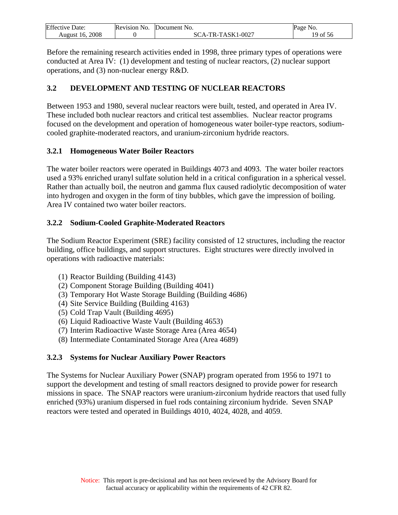<span id="page-19-0"></span>

| <b>Effective Date:</b> | Revision No. | Document No.   | Page<br>NO. |
|------------------------|--------------|----------------|-------------|
| 2008                   |              | -TR-TASK1-0027 | 19          |
| August 16.             |              | SCA-1          | of 56       |

Before the remaining research activities ended in 1998, three primary types of operations were conducted at Area IV: (1) development and testing of nuclear reactors, (2) nuclear support operations, and (3) non-nuclear energy R&D.

## **3.2 DEVELOPMENT AND TESTING OF NUCLEAR REACTORS**

Between 1953 and 1980, several nuclear reactors were built, tested, and operated in Area IV. These included both nuclear reactors and critical test assemblies. Nuclear reactor programs focused on the development and operation of homogeneous water boiler-type reactors, sodiumcooled graphite-moderated reactors, and uranium-zirconium hydride reactors.

#### **3.2.1 Homogeneous Water Boiler Reactors**

The water boiler reactors were operated in Buildings 4073 and 4093. The water boiler reactors used a 93% enriched uranyl sulfate solution held in a critical configuration in a spherical vessel. Rather than actually boil, the neutron and gamma flux caused radiolytic decomposition of water into hydrogen and oxygen in the form of tiny bubbles, which gave the impression of boiling. Area IV contained two water boiler reactors.

## **3.2.2 Sodium-Cooled Graphite-Moderated Reactors**

The Sodium Reactor Experiment (SRE) facility consisted of 12 structures, including the reactor building, office buildings, and support structures. Eight structures were directly involved in operations with radioactive materials:

- (1) Reactor Building (Building 4143)
- (2) Component Storage Building (Building 4041)
- (3) Temporary Hot Waste Storage Building (Building 4686)
- (4) Site Service Building (Building 4163)
- (5) Cold Trap Vault (Building 4695)
- (6) Liquid Radioactive Waste Vault (Building 4653)
- (7) Interim Radioactive Waste Storage Area (Area 4654)
- (8) Intermediate Contaminated Storage Area (Area 4689)

## **3.2.3 Systems for Nuclear Auxiliary Power Reactors**

The Systems for Nuclear Auxiliary Power (SNAP) program operated from 1956 to 1971 to support the development and testing of small reactors designed to provide power for research missions in space. The SNAP reactors were uranium-zirconium hydride reactors that used fully enriched (93%) uranium dispersed in fuel rods containing zirconium hydride. Seven SNAP reactors were tested and operated in Buildings 4010, 4024, 4028, and 4059.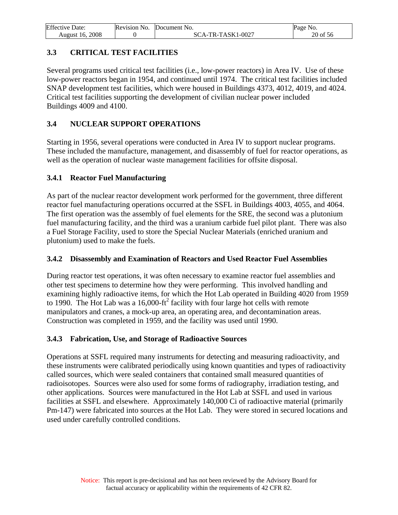<span id="page-20-0"></span>

| <b>Effective Date:</b> | Revision No. | Document No.      | Page No. |
|------------------------|--------------|-------------------|----------|
| 2008<br>August 16.     |              | SCA-TR-TASK1-0027 | 20 of 56 |

## **3.3 CRITICAL TEST FACILITIES**

Several programs used critical test facilities (i.e., low-power reactors) in Area IV. Use of these low-power reactors began in 1954, and continued until 1974. The critical test facilities included SNAP development test facilities, which were housed in Buildings 4373, 4012, 4019, and 4024. Critical test facilities supporting the development of civilian nuclear power included Buildings 4009 and 4100.

## **3.4 NUCLEAR SUPPORT OPERATIONS**

Starting in 1956, several operations were conducted in Area IV to support nuclear programs. These included the manufacture, management, and disassembly of fuel for reactor operations, as well as the operation of nuclear waste management facilities for offsite disposal.

## **3.4.1 Reactor Fuel Manufacturing**

As part of the nuclear reactor development work performed for the government, three different reactor fuel manufacturing operations occurred at the SSFL in Buildings 4003, 4055, and 4064. The first operation was the assembly of fuel elements for the SRE, the second was a plutonium fuel manufacturing facility, and the third was a uranium carbide fuel pilot plant. There was also a Fuel Storage Facility, used to store the Special Nuclear Materials (enriched uranium and plutonium) used to make the fuels.

#### **3.4.2 Disassembly and Examination of Reactors and Used Reactor Fuel Assemblies**

During reactor test operations, it was often necessary to examine reactor fuel assemblies and other test specimens to determine how they were performing. This involved handling and examining highly radioactive items, for which the Hot Lab operated in Building 4020 from 1959 to 1990. The Hot Lab was a  $16,000$ -ft<sup>2</sup> facility with four large hot cells with remote manipulators and cranes, a mock-up area, an operating area, and decontamination areas. Construction was completed in 1959, and the facility was used until 1990.

#### **3.4.3 Fabrication, Use, and Storage of Radioactive Sources**

Operations at SSFL required many instruments for detecting and measuring radioactivity, and these instruments were calibrated periodically using known quantities and types of radioactivity called sources, which were sealed containers that contained small measured quantities of radioisotopes. Sources were also used for some forms of radiography, irradiation testing, and other applications. Sources were manufactured in the Hot Lab at SSFL and used in various facilities at SSFL and elsewhere. Approximately 140,000 Ci of radioactive material (primarily Pm-147) were fabricated into sources at the Hot Lab. They were stored in secured locations and used under carefully controlled conditions.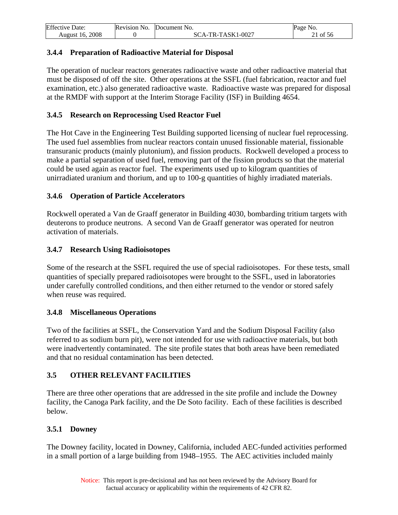<span id="page-21-0"></span>

| <b>Effective Date:</b> | Revision No. | Document No.        | Page No.   |
|------------------------|--------------|---------------------|------------|
| 2008<br>August 16.     |              | $SCA-TR-TASK1-0027$ | $21$ of 56 |

### **3.4.4 Preparation of Radioactive Material for Disposal**

The operation of nuclear reactors generates radioactive waste and other radioactive material that must be disposed of off the site. Other operations at the SSFL (fuel fabrication, reactor and fuel examination, etc.) also generated radioactive waste. Radioactive waste was prepared for disposal at the RMDF with support at the Interim Storage Facility (ISF) in Building 4654.

### **3.4.5 Research on Reprocessing Used Reactor Fuel**

The Hot Cave in the Engineering Test Building supported licensing of nuclear fuel reprocessing. The used fuel assemblies from nuclear reactors contain unused fissionable material, fissionable transuranic products (mainly plutonium), and fission products. Rockwell developed a process to make a partial separation of used fuel, removing part of the fission products so that the material could be used again as reactor fuel. The experiments used up to kilogram quantities of unirradiated uranium and thorium, and up to 100-g quantities of highly irradiated materials.

## **3.4.6 Operation of Particle Accelerators**

Rockwell operated a Van de Graaff generator in Building 4030, bombarding tritium targets with deuterons to produce neutrons. A second Van de Graaff generator was operated for neutron activation of materials.

## **3.4.7 Research Using Radioisotopes**

Some of the research at the SSFL required the use of special radioisotopes. For these tests, small quantities of specially prepared radioisotopes were brought to the SSFL, used in laboratories under carefully controlled conditions, and then either returned to the vendor or stored safely when reuse was required.

#### **3.4.8 Miscellaneous Operations**

Two of the facilities at SSFL, the Conservation Yard and the Sodium Disposal Facility (also referred to as sodium burn pit), were not intended for use with radioactive materials, but both were inadvertently contaminated. The site profile states that both areas have been remediated and that no residual contamination has been detected.

## **3.5 OTHER RELEVANT FACILITIES**

There are three other operations that are addressed in the site profile and include the Downey facility, the Canoga Park facility, and the De Soto facility. Each of these facilities is described below.

## **3.5.1 Downey**

The Downey facility, located in Downey, California, included AEC-funded activities performed in a small portion of a large building from 1948–1955. The AEC activities included mainly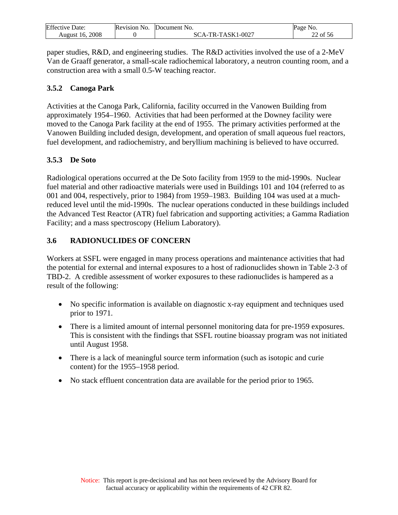<span id="page-22-0"></span>

| Effective           | Revision | N <sub>O</sub>                 | Page             |
|---------------------|----------|--------------------------------|------------------|
| Jate:               | No       | <b>Document</b>                | N <sub>0</sub>   |
| 2008<br>August<br>h |          | $1 - 0027$<br>ASK1<br>д_<br>к- | nη<br>ΟĪ<br>- 20 |

paper studies, R&D, and engineering studies. The R&D activities involved the use of a 2-MeV Van de Graaff generator, a small-scale radiochemical laboratory, a neutron counting room, and a construction area with a small 0.5-W teaching reactor.

## **3.5.2 Canoga Park**

Activities at the Canoga Park, California, facility occurred in the Vanowen Building from approximately 1954–1960. Activities that had been performed at the Downey facility were moved to the Canoga Park facility at the end of 1955. The primary activities performed at the Vanowen Building included design, development, and operation of small aqueous fuel reactors, fuel development, and radiochemistry, and beryllium machining is believed to have occurred.

## **3.5.3 De Soto**

Radiological operations occurred at the De Soto facility from 1959 to the mid-1990s. Nuclear fuel material and other radioactive materials were used in Buildings 101 and 104 (referred to as 001 and 004, respectively, prior to 1984) from 1959–1983. Building 104 was used at a muchreduced level until the mid-1990s. The nuclear operations conducted in these buildings included the Advanced Test Reactor (ATR) fuel fabrication and supporting activities; a Gamma Radiation Facility; and a mass spectroscopy (Helium Laboratory).

## **3.6 RADIONUCLIDES OF CONCERN**

Workers at SSFL were engaged in many process operations and maintenance activities that had the potential for external and internal exposures to a host of radionuclides shown in Table 2-3 of TBD-2. A credible assessment of worker exposures to these radionuclides is hampered as a result of the following:

- No specific information is available on diagnostic x-ray equipment and techniques used prior to 1971.
- There is a limited amount of internal personnel monitoring data for pre-1959 exposures. This is consistent with the findings that SSFL routine bioassay program was not initiated until August 1958.
- There is a lack of meaningful source term information (such as isotopic and curie content) for the 1955–1958 period.
- No stack effluent concentration data are available for the period prior to 1965.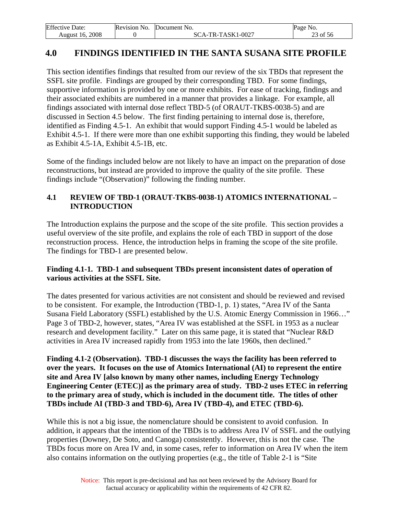<span id="page-23-0"></span>

| <b>Effective Date:</b> | Revision No. | Document No.                             | Page No. |
|------------------------|--------------|------------------------------------------|----------|
| 2008<br>16.<br>August  |              | A-TR-TASK1-0027<br>$\alpha_{\text{A}^-}$ | 23 of 56 |

## **4.0 FINDINGS IDENTIFIED IN THE SANTA SUSANA SITE PROFILE**

This section identifies findings that resulted from our review of the six TBDs that represent the SSFL site profile. Findings are grouped by their corresponding TBD. For some findings, supportive information is provided by one or more exhibits. For ease of tracking, findings and their associated exhibits are numbered in a manner that provides a linkage. For example, all findings associated with internal dose reflect TBD-5 (of ORAUT-TKBS-0038-5) and are discussed in Section 4.5 below. The first finding pertaining to internal dose is, therefore, identified as Finding 4.5-1. An exhibit that would support Finding 4.5-1 would be labeled as Exhibit 4.5-1. If there were more than one exhibit supporting this finding, they would be labeled as Exhibit 4.5-1A, Exhibit 4.5-1B, etc.

Some of the findings included below are not likely to have an impact on the preparation of dose reconstructions, but instead are provided to improve the quality of the site profile. These findings include "(Observation)" following the finding number.

#### **4.1 REVIEW OF TBD-1 (ORAUT-TKBS-0038-1) ATOMICS INTERNATIONAL – INTRODUCTION**

The Introduction explains the purpose and the scope of the site profile. This section provides a useful overview of the site profile, and explains the role of each TBD in support of the dose reconstruction process. Hence, the introduction helps in framing the scope of the site profile. The findings for TBD-1 are presented below.

#### **Finding 4.1-1. TBD-1 and subsequent TBDs present inconsistent dates of operation of various activities at the SSFL Site.**

The dates presented for various activities are not consistent and should be reviewed and revised to be consistent. For example, the Introduction (TBD-1, p. 1) states, "Area IV of the Santa Susana Field Laboratory (SSFL) established by the U.S. Atomic Energy Commission in 1966…" Page 3 of TBD-2, however, states, "Area IV was established at the SSFL in 1953 as a nuclear research and development facility." Later on this same page, it is stated that "Nuclear R&D activities in Area IV increased rapidly from 1953 into the late 1960s, then declined."

**Finding 4.1-2 (Observation). TBD-1 discusses the ways the facility has been referred to over the years. It focuses on the use of Atomics International (AI) to represent the entire site and Area IV [also known by many other names, including Energy Technology Engineering Center (ETEC)] as the primary area of study. TBD-2 uses ETEC in referring to the primary area of study, which is included in the document title. The titles of other TBDs include AI (TBD-3 and TBD-6), Area IV (TBD-4), and ETEC (TBD-6).** 

While this is not a big issue, the nomenclature should be consistent to avoid confusion. In addition, it appears that the intention of the TBDs is to address Area IV of SSFL and the outlying properties (Downey, De Soto, and Canoga) consistently. However, this is not the case. The TBDs focus more on Area IV and, in some cases, refer to information on Area IV when the item also contains information on the outlying properties (e.g., the title of Table 2-1 is "Site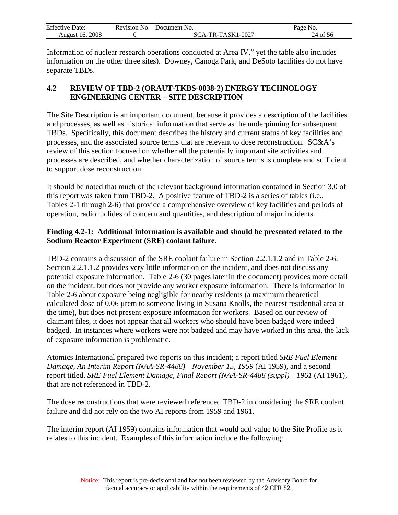<span id="page-24-0"></span>

| Effective          | No.             | Document No.                       | Page                          |
|--------------------|-----------------|------------------------------------|-------------------------------|
| Date:              | <b>Revision</b> |                                    | N <sub>0</sub>                |
| 2008<br>August 16. |                 | -TASK1-0027<br>$TR-$<br>$\Delta$ - | -56<br>$\sim$ t<br>$\angle 4$ |

Information of nuclear research operations conducted at Area IV," yet the table also includes information on the other three sites). Downey, Canoga Park, and DeSoto facilities do not have separate TBDs.

## **4.2 REVIEW OF TBD-2 (ORAUT-TKBS-0038-2) ENERGY TECHNOLOGY ENGINEERING CENTER – SITE DESCRIPTION**

The Site Description is an important document, because it provides a description of the facilities and processes, as well as historical information that serve as the underpinning for subsequent TBDs. Specifically, this document describes the history and current status of key facilities and processes, and the associated source terms that are relevant to dose reconstruction. SC&A's review of this section focused on whether all the potentially important site activities and processes are described, and whether characterization of source terms is complete and sufficient to support dose reconstruction.

It should be noted that much of the relevant background information contained in Section 3.0 of this report was taken from TBD-2. A positive feature of TBD-2 is a series of tables (i.e., Tables 2-1 through 2-6) that provide a comprehensive overview of key facilities and periods of operation, radionuclides of concern and quantities, and description of major incidents.

### **Finding 4.2-1: Additional information is available and should be presented related to the Sodium Reactor Experiment (SRE) coolant failure.**

TBD-2 contains a discussion of the SRE coolant failure in Section 2.2.1.1.2 and in Table 2-6. Section 2.2.1.1.2 provides very little information on the incident, and does not discuss any potential exposure information. Table 2-6 (30 pages later in the document) provides more detail on the incident, but does not provide any worker exposure information. There is information in Table 2-6 about exposure being negligible for nearby residents (a maximum theoretical calculated dose of 0.06 μrem to someone living in Susana Knolls, the nearest residential area at the time), but does not present exposure information for workers. Based on our review of claimant files, it does not appear that all workers who should have been badged were indeed badged. In instances where workers were not badged and may have worked in this area, the lack of exposure information is problematic.

Atomics International prepared two reports on this incident; a report titled *SRE Fuel Element Damage, An Interim Report (NAA-SR-4488)—November 15, 1959* (AI 1959), and a second report titled, *SRE Fuel Element Damage, Final Report (NAA-SR-4488 (suppl)—1961* (AI 1961), that are not referenced in TBD-2.

The dose reconstructions that were reviewed referenced TBD-2 in considering the SRE coolant failure and did not rely on the two AI reports from 1959 and 1961.

The interim report (AI 1959) contains information that would add value to the Site Profile as it relates to this incident. Examples of this information include the following: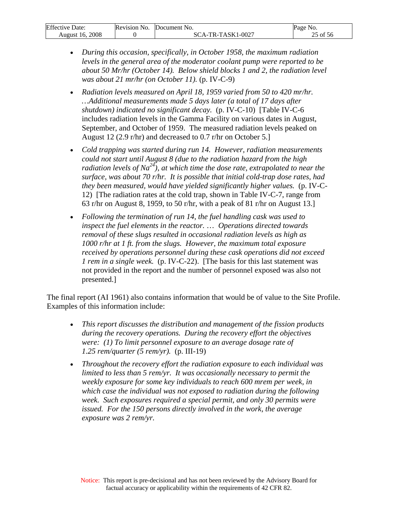| Effective<br>Date: | <b>Revision No.</b> | Document No.                                           | Page No.         |
|--------------------|---------------------|--------------------------------------------------------|------------------|
| 2008<br>August 16. |                     | 1-0027<br>TR-TASK1<br>$^{\circ}$ $^{\circ}$ $\Delta$ - | $c - c$<br>of 56 |

- *During this occasion, specifically, in October 1958, the maximum radiation levels in the general area of the moderator coolant pump were reported to be about 50 Mr/hr (October 14). Below shield blocks 1 and 2, the radiation level was about 21 mr/hr (on October 11).* (p. IV-C-9)
- *Radiation levels measured on April 18, 1959 varied from 50 to 420 mr/hr. …Additional measurements made 5 days later (a total of 17 days after shutdown) indicated no significant decay.* (p. IV-C-10) [Table IV-C-6 includes radiation levels in the Gamma Facility on various dates in August, September, and October of 1959. The measured radiation levels peaked on August 12 (2.9 r/hr) and decreased to 0.7 r/hr on October 5.]
- *Cold trapping was started during run 14. However, radiation measurements could not start until August 8 (due to the radiation hazard from the high radiation levels of Na24), at which time the dose rate, extrapolated to near the surface, was about 70 r/hr. It is possible that initial cold-trap dose rates, had they been measured, would have yielded significantly higher values.* (p. IV-C-12) [The radiation rates at the cold trap, shown in Table IV-C-7, range from 63 r/hr on August 8, 1959, to 50 r/hr, with a peak of 81 r/hr on August 13.]
- *Following the termination of run 14, the fuel handling cask was used to inspect the fuel elements in the reactor.* … *Operations directed towards removal of these slugs resulted in occasional radiation levels as high as 1000 r/hr at 1 ft. from the slugs. However, the maximum total exposure received by operations personnel during these cask operations did not exceed 1 rem in a single week.* (p. IV-C-22). [The basis for this last statement was not provided in the report and the number of personnel exposed was also not presented.]

The final report (AI 1961) also contains information that would be of value to the Site Profile. Examples of this information include:

- *This report discusses the distribution and management of the fission products during the recovery operations. During the recovery effort the objectives were: (1) To limit personnel exposure to an average dosage rate of 1.25 rem/quarter (5 rem/yr).* (p. III-19)
- *Throughout the recovery effort the radiation exposure to each individual was limited to less than 5 rem/yr. It was occasionally necessary to permit the weekly exposure for some key individuals to reach 600 mrem per week, in which case the individual was not exposed to radiation during the following week. Such exposures required a special permit, and only 30 permits were issued. For the 150 persons directly involved in the work, the average exposure was 2 rem/yr.*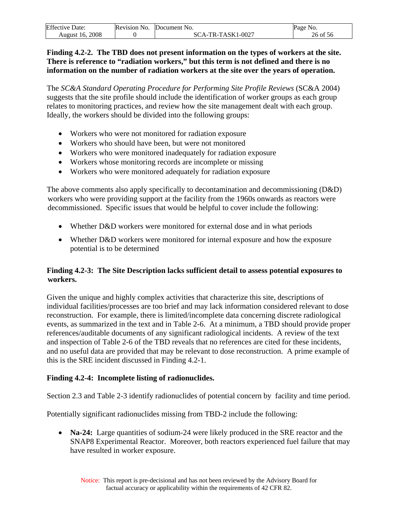| <b>Effective Date:</b> | Revision No. | Document No.      | Page No. |
|------------------------|--------------|-------------------|----------|
| August 16, 2008        |              | SCA-TR-TASK1-0027 | 26 of 56 |

#### **Finding 4.2-2. The TBD does not present information on the types of workers at the site. There is reference to "radiation workers," but this term is not defined and there is no information on the number of radiation workers at the site over the years of operation.**

The *SC&A Standard Operating Procedure for Performing Site Profile Reviews* (SC&A 2004) suggests that the site profile should include the identification of worker groups as each group relates to monitoring practices, and review how the site management dealt with each group. Ideally, the workers should be divided into the following groups:

- Workers who were not monitored for radiation exposure
- Workers who should have been, but were not monitored
- Workers who were monitored inadequately for radiation exposure
- Workers whose monitoring records are incomplete or missing
- Workers who were monitored adequately for radiation exposure

The above comments also apply specifically to decontamination and decommissioning (D&D) workers who were providing support at the facility from the 1960s onwards as reactors were decommissioned. Specific issues that would be helpful to cover include the following:

- Whether D&D workers were monitored for external dose and in what periods
- Whether D&D workers were monitored for internal exposure and how the exposure potential is to be determined

## **Finding 4.2-3: The Site Description lacks sufficient detail to assess potential exposures to workers.**

Given the unique and highly complex activities that characterize this site, descriptions of individual facilities/processes are too brief and may lack information considered relevant to dose reconstruction. For example, there is limited/incomplete data concerning discrete radiological events, as summarized in the text and in Table 2-6. At a minimum, a TBD should provide proper references/auditable documents of any significant radiological incidents. A review of the text and inspection of Table 2-6 of the TBD reveals that no references are cited for these incidents, and no useful data are provided that may be relevant to dose reconstruction. A prime example of this is the SRE incident discussed in Finding 4.2-1.

## **Finding 4.2-4: Incomplete listing of radionuclides.**

Section 2.3 and Table 2-3 identify radionuclides of potential concern by facility and time period.

Potentially significant radionuclides missing from TBD-2 include the following:

• **Na-24:** Large quantities of sodium-24 were likely produced in the SRE reactor and the SNAP8 Experimental Reactor. Moreover, both reactors experienced fuel failure that may have resulted in worker exposure.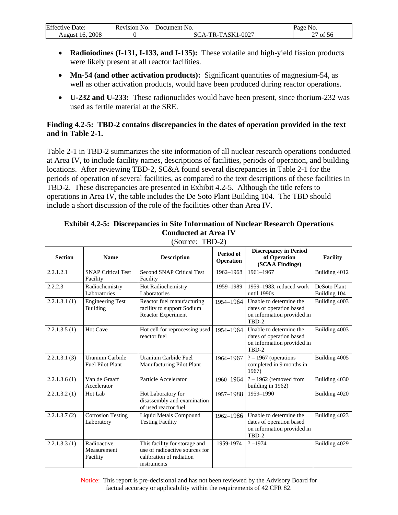| Effective<br>Date: | Revision No. | <b>Document</b> No. | Page<br>N <sub>O</sub> |
|--------------------|--------------|---------------------|------------------------|
| 2008               |              | -TR-TASK1-0027      | 56                     |
| August 16.         |              | SCA-'               | ΟĪ                     |

- **Radioiodines (I-131, I-133, and I-135):** These volatile and high-yield fission products were likely present at all reactor facilities.
- Mn-54 (and other activation products): Significant quantities of magnesium-54, as well as other activation products, would have been produced during reactor operations.
- **U-232 and U-233:** These radionuclides would have been present, since thorium-232 was used as fertile material at the SRE.

#### **Finding 4.2-5: TBD-2 contains discrepancies in the dates of operation provided in the text and in Table 2-1.**

Table 2-1 in TBD-2 summarizes the site information of all nuclear research operations conducted at Area IV, to include facility names, descriptions of facilities, periods of operation, and building locations. After reviewing TBD-2, SC&A found several discrepancies in Table 2-1 for the periods of operation of several facilities, as compared to the text descriptions of these facilities in TBD-2. These discrepancies are presented in Exhibit 4.2-5. Although the title refers to operations in Area IV, the table includes the De Soto Plant Building 104. The TBD should include a short discussion of the role of the facilities other than Area IV.

| <b>Section</b> | <b>Name</b>                                | <b>Description</b>                                                                                         | Period of<br>Operation | <b>Discrepancy in Period</b><br>of Operation<br>(SC&A Findings)                            | <b>Facility</b>              |
|----------------|--------------------------------------------|------------------------------------------------------------------------------------------------------------|------------------------|--------------------------------------------------------------------------------------------|------------------------------|
| 2.2.1.2.1      | <b>SNAP Critical Test</b><br>Facility      | <b>Second SNAP Critical Test</b><br>Facility                                                               | 1962-1968              | 1961-1967                                                                                  | Building 4012                |
| 2.2.2.3        | Radiochemistry<br>Laboratories             | Hot Radiochemistry<br>Laboratories                                                                         | 1959-1989              | 1959-1983, reduced work<br>until 1990s                                                     | DeSoto Plant<br>Building 104 |
| 2.2.1.3.1(1)   | <b>Engineering Test</b><br><b>Building</b> | Reactor fuel manufacturing<br>facility to support Sodium<br><b>Reactor Experiment</b>                      | 1954-1964              | Unable to determine the<br>dates of operation based<br>on information provided in<br>TBD-2 | Building 4003                |
| 2.2.1.3.5(1)   | <b>Hot Cave</b>                            | Hot cell for reprocessing used<br>reactor fuel                                                             | 1954-1964              | Unable to determine the<br>dates of operation based<br>on information provided in<br>TBD-2 | Building 4003                |
| 2.2.1.3.1(3)   | Uranium Carbide<br><b>Fuel Pilot Plant</b> | Uranium Carbide Fuel<br>Manufacturing Pilot Plant                                                          | 1964-1967              | $? - 1967$ (operations<br>completed in 9 months in<br>1967)                                | Building 4005                |
| 2.2.1.3.6(1)   | Van de Graaff<br>Accelerator               | Particle Accelerator                                                                                       | 1960-1964              | $? - 1962$ (removed from<br>building in 1962)                                              | Building 4030                |
| 2.2.1.3.2(1)   | Hot Lab                                    | Hot Laboratory for<br>disassembly and examination<br>of used reactor fuel                                  | 1957-1988              | 1959-1990                                                                                  | Building 4020                |
| 2.2.1.3.7(2)   | <b>Corrosion Testing</b><br>Laboratory     | Liquid Metals Compound<br><b>Testing Facility</b>                                                          | 1962-1986              | Unable to determine the<br>dates of operation based<br>on information provided in<br>TBD-2 | Building 4023                |
| 2.2.1.3.3(1)   | Radioactive<br>Measurement<br>Facility     | This facility for storage and<br>use of radioactive sources for<br>calibration of radiation<br>instruments | 1959-1974              | $? - 1974$                                                                                 | Building 4029                |

## **Exhibit 4.2-5: Discrepancies in Site Information of Nuclear Research Operations Conducted at Area IV**

(Source: TBD-2)

Notice: This report is pre-decisional and has not been reviewed by the Advisory Board for factual accuracy or applicability within the requirements of 42 CFR 82.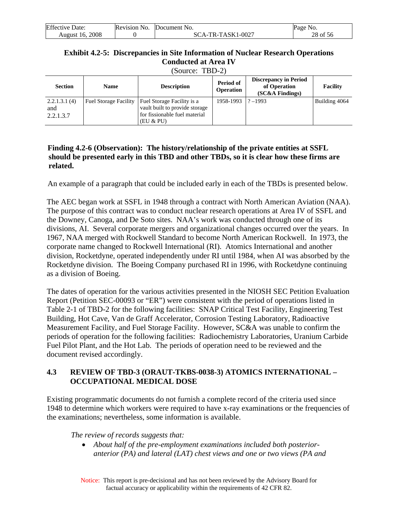<span id="page-28-0"></span>

| <b>Effective Date:</b> | Revision No. | Document No.      | Page No. |
|------------------------|--------------|-------------------|----------|
| August 16, 2008        |              | SCA-TR-TASK1-0027 | 28 of 56 |

#### **Exhibit 4.2-5: Discrepancies in Site Information of Nuclear Research Operations Conducted at Area IV**

(Source: TBD-2)

| <b>Section</b>                   | <b>Name</b>                  | <b>Description</b>                                                                                         | Period of<br><b>Operation</b> | <b>Discrepancy in Period</b><br>of Operation<br>$SC&A$ Findings) | Facility      |
|----------------------------------|------------------------------|------------------------------------------------------------------------------------------------------------|-------------------------------|------------------------------------------------------------------|---------------|
| 2.2.1.3.1(4)<br>and<br>2.2.1.3.7 | <b>Fuel Storage Facility</b> | Fuel Storage Facility is a<br>vault built to provide storage<br>for fissionable fuel material<br>(EU & PU) | 1958-1993                     | $? - 1993$                                                       | Building 4064 |

#### **Finding 4.2-6 (Observation): The history/relationship of the private entities at SSFL should be presented early in this TBD and other TBDs, so it is clear how these firms are related.**

An example of a paragraph that could be included early in each of the TBDs is presented below.

The AEC began work at SSFL in 1948 through a contract with North American Aviation (NAA). The purpose of this contract was to conduct nuclear research operations at Area IV of SSFL and the Downey, Canoga, and De Soto sites. NAA's work was conducted through one of its divisions, AI. Several corporate mergers and organizational changes occurred over the years. In 1967, NAA merged with Rockwell Standard to become North American Rockwell. In 1973, the corporate name changed to Rockwell International (RI). Atomics International and another division, Rocketdyne, operated independently under RI until 1984, when AI was absorbed by the Rocketdyne division. The Boeing Company purchased RI in 1996, with Rocketdyne continuing as a division of Boeing.

The dates of operation for the various activities presented in the NIOSH SEC Petition Evaluation Report (Petition SEC-00093 or "ER") were consistent with the period of operations listed in Table 2-1 of TBD-2 for the following facilities: SNAP Critical Test Facility, Engineering Test Building, Hot Cave, Van de Graff Accelerator, Corrosion Testing Laboratory, Radioactive Measurement Facility, and Fuel Storage Facility. However, SC&A was unable to confirm the periods of operation for the following facilities: Radiochemistry Laboratories, Uranium Carbide Fuel Pilot Plant, and the Hot Lab. The periods of operation need to be reviewed and the document revised accordingly.

## **4.3 REVIEW OF TBD-3 (ORAUT-TKBS-0038-3) ATOMICS INTERNATIONAL – OCCUPATIONAL MEDICAL DOSE**

Existing programmatic documents do not furnish a complete record of the criteria used since 1948 to determine which workers were required to have x-ray examinations or the frequencies of the examinations; nevertheless, some information is available.

*The review of records suggests that:* 

• *About half of the pre-employment examinations included both posterioranterior (PA) and lateral (LAT) chest views and one or two views (PA and*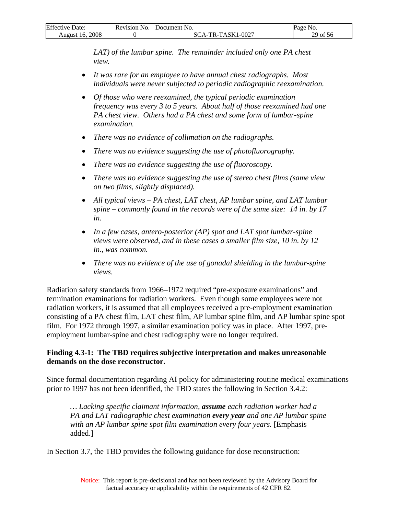| <b>Effective Date:</b> | Revision No. | Document No.        | Page No. |
|------------------------|--------------|---------------------|----------|
| August 16. 2008        |              | $SCA-TR-TASK1-0027$ | 29 of 56 |

*LAT*) of the lumbar spine. The remainder included only one PA chest *view.* 

- *It was rare for an employee to have annual chest radiographs. Most individuals were never subjected to periodic radiographic reexamination.*
- *Of those who were reexamined, the typical periodic examination frequency was every 3 to 5 years. About half of those reexamined had one PA chest view. Others had a PA chest and some form of lumbar-spine examination.*
- *There was no evidence of collimation on the radiographs.*
- *There was no evidence suggesting the use of photofluorography.*
- *There was no evidence suggesting the use of fluoroscopy.*
- *There was no evidence suggesting the use of stereo chest films (same view on two films, slightly displaced).*
- *All typical views PA chest, LAT chest, AP lumbar spine, and LAT lumbar spine – commonly found in the records were of the same size: 14 in. by 17 in.*
- *In a few cases, antero-posterior (AP) spot and LAT spot lumbar-spine views were observed, and in these cases a smaller film size, 10 in. by 12 in., was common.*
- *There was no evidence of the use of gonadal shielding in the lumbar-spine views.*

Radiation safety standards from 1966–1972 required "pre-exposure examinations" and termination examinations for radiation workers. Even though some employees were not radiation workers, it is assumed that all employees received a pre-employment examination consisting of a PA chest film, LAT chest film, AP lumbar spine film, and AP lumbar spine spot film. For 1972 through 1997, a similar examination policy was in place. After 1997, preemployment lumbar-spine and chest radiography were no longer required.

#### **Finding 4.3-1: The TBD requires subjective interpretation and makes unreasonable demands on the dose reconstructor.**

Since formal documentation regarding AI policy for administering routine medical examinations prior to 1997 has not been identified, the TBD states the following in Section 3.4.2:

*… Lacking specific claimant information, assume each radiation worker had a PA and LAT radiographic chest examination every year and one AP lumbar spine*  with an AP lumbar spine spot film examination every four years. [Emphasis added.]

In Section 3.7, the TBD provides the following guidance for dose reconstruction: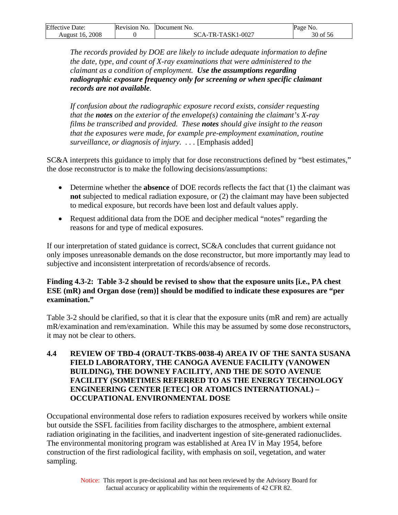<span id="page-30-0"></span>

| <b>Effective Date:</b> | Revision No. | Document No.      | Page No. |
|------------------------|--------------|-------------------|----------|
| August 16, 2008        |              | SCA-TR-TASK1-0027 | 30 of 56 |

*The records provided by DOE are likely to include adequate information to define the date, type, and count of X-ray examinations that were administered to the claimant as a condition of employment. Use the assumptions regarding radiographic exposure frequency only for screening or when specific claimant records are not available.* 

*If confusion about the radiographic exposure record exists, consider requesting that the notes on the exterior of the envelope(s) containing the claimant's X-ray films be transcribed and provided. These notes should give insight to the reason that the exposures were made, for example pre-employment examination, routine surveillance, or diagnosis of injury. . . .* [Emphasis added]

SC&A interprets this guidance to imply that for dose reconstructions defined by "best estimates," the dose reconstructor is to make the following decisions/assumptions:

- Determine whether the **absence** of DOE records reflects the fact that (1) the claimant was **not** subjected to medical radiation exposure, or (2) the claimant may have been subjected to medical exposure, but records have been lost and default values apply.
- Request additional data from the DOE and decipher medical "notes" regarding the reasons for and type of medical exposures.

If our interpretation of stated guidance is correct, SC&A concludes that current guidance not only imposes unreasonable demands on the dose reconstructor, but more importantly may lead to subjective and inconsistent interpretation of records/absence of records.

#### **Finding 4.3-2: Table 3-2 should be revised to show that the exposure units [i.e., PA chest ESE (mR) and Organ dose (rem)] should be modified to indicate these exposures are "per examination."**

Table 3-2 should be clarified, so that it is clear that the exposure units (mR and rem) are actually mR/examination and rem/examination. While this may be assumed by some dose reconstructors, it may not be clear to others.

#### **4.4 REVIEW OF TBD-4 (ORAUT-TKBS-0038-4) AREA IV OF THE SANTA SUSANA FIELD LABORATORY, THE CANOGA AVENUE FACILITY (VANOWEN BUILDING), THE DOWNEY FACILITY, AND THE DE SOTO AVENUE FACILITY (SOMETIMES REFERRED TO AS THE ENERGY TECHNOLOGY ENGINEERING CENTER [ETEC] OR ATOMICS INTERNATIONAL) – OCCUPATIONAL ENVIRONMENTAL DOSE**

Occupational environmental dose refers to radiation exposures received by workers while onsite but outside the SSFL facilities from facility discharges to the atmosphere, ambient external radiation originating in the facilities, and inadvertent ingestion of site-generated radionuclides. The environmental monitoring program was established at Area IV in May 1954, before construction of the first radiological facility, with emphasis on soil, vegetation, and water sampling.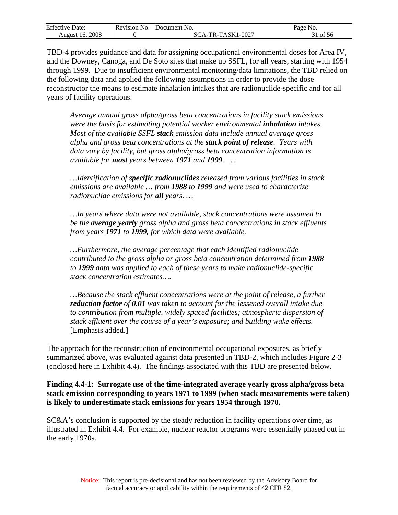| Effective          | No.             | Document No.                                 | Page                              |
|--------------------|-----------------|----------------------------------------------|-----------------------------------|
| Date:              | <b>Revision</b> |                                              | N <sub>0</sub>                    |
| 2008<br>August 16. |                 | -TASK1-0027<br>TR <sub>-</sub><br>$\Delta$ - | $\sim$ $\sim$ $\sim$<br>-56<br>ΟĪ |

TBD-4 provides guidance and data for assigning occupational environmental doses for Area IV, and the Downey, Canoga, and De Soto sites that make up SSFL, for all years, starting with 1954 through 1999. Due to insufficient environmental monitoring/data limitations, the TBD relied on the following data and applied the following assumptions in order to provide the dose reconstructor the means to estimate inhalation intakes that are radionuclide-specific and for all years of facility operations.

*Average annual gross alpha/gross beta concentrations in facility stack emissions were the basis for estimating potential worker environmental inhalation intakes. Most of the available SSFL stack emission data include annual average gross alpha and gross beta concentrations at the stack point of release. Years with data vary by facility, but gross alpha/gross beta concentration information is available for most years between 1971 and 1999. …* 

*…Identification of specific radionuclides released from various facilities in stack emissions are available … from 1988 to 1999 and were used to characterize radionuclide emissions for all years. …* 

*…In years where data were not available, stack concentrations were assumed to be the average yearly gross alpha and gross beta concentrations in stack effluents from years 1971 to 1999, for which data were available.* 

*…Furthermore, the average percentage that each identified radionuclide contributed to the gross alpha or gross beta concentration determined from 1988 to 1999 data was applied to each of these years to make radionuclide-specific stack concentration estimates….* 

*…Because the stack effluent concentrations were at the point of release, a further reduction factor of 0.01 was taken to account for the lessened overall intake due to contribution from multiple, widely spaced facilities; atmospheric dispersion of stack effluent over the course of a year's exposure; and building wake effects.* [Emphasis added.]

The approach for the reconstruction of environmental occupational exposures, as briefly summarized above, was evaluated against data presented in TBD-2, which includes Figure 2-3 (enclosed here in Exhibit 4.4). The findings associated with this TBD are presented below.

#### **Finding 4.4-1: Surrogate use of the time-integrated average yearly gross alpha/gross beta stack emission corresponding to years 1971 to 1999 (when stack measurements were taken) is likely to underestimate stack emissions for years 1954 through 1970.**

SC&A's conclusion is supported by the steady reduction in facility operations over time, as illustrated in Exhibit 4.4. For example, nuclear reactor programs were essentially phased out in the early 1970s.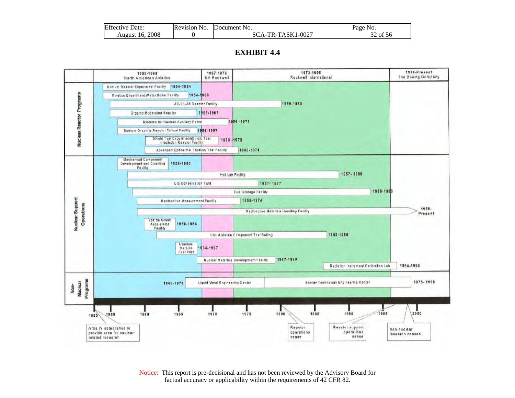| <b>Effective Date:</b> | Revision No. | Document No.      | Page No. |
|------------------------|--------------|-------------------|----------|
| August 16, 2008        |              | SCA-TR-TASK1-0027 | 32 of 56 |

#### **EXHIBIT 4.4**



Notice: This report is pre-decisional and has not been reviewed by the Advisory Board for factual accuracy or applicability within the requirements of 42 CFR 82.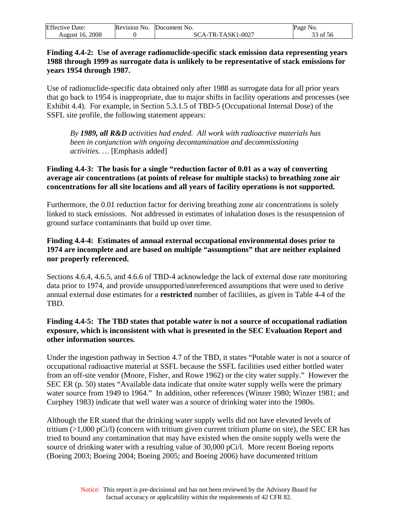| <b>Effective Date:</b> | Revision No. | <b>Document No.</b> | Page<br>N <sub>O</sub> .      |
|------------------------|--------------|---------------------|-------------------------------|
| August 16, 2008        |              | SCA-TR-TASK1-0027   | $\sim$ $\sim$ $\sim$<br>of 56 |

#### **Finding 4.4-2: Use of average radionuclide-specific stack emission data representing years 1988 through 1999 as surrogate data is unlikely to be representative of stack emissions for years 1954 through 1987.**

Use of radionuclide-specific data obtained only after 1988 as surrogate data for all prior years that go back to 1954 is inappropriate, due to major shifts in facility operations and processes (see Exhibit 4.4). For example, in Section 5.3.1.5 of TBD-5 (Occupational Internal Dose) of the SSFL site profile, the following statement appears:

*By 1989, all R&D activities had ended. All work with radioactive materials has been in conjunction with ongoing decontamination and decommissioning activities. …* [Emphasis added]

#### **Finding 4.4-3: The basis for a single "reduction factor of 0.01 as a way of converting average air concentrations (at points of release for multiple stacks) to breathing zone air concentrations for all site locations and all years of facility operations is not supported.**

Furthermore, the 0.01 reduction factor for deriving breathing zone air concentrations is solely linked to stack emissions. Not addressed in estimates of inhalation doses is the resuspension of ground surface contaminants that build up over time.

### **Finding 4.4-4: Estimates of annual external occupational environmental doses prior to 1974 are incomplete and are based on multiple "assumptions" that are neither explained nor properly referenced.**

Sections 4.6.4, 4.6.5, and 4.6.6 of TBD-4 acknowledge the lack of external dose rate monitoring data prior to 1974, and provide unsupported/unreferenced assumptions that were used to derive annual external dose estimates for a **restricted** number of facilities, as given in Table 4-4 of the TBD.

#### **Finding 4.4-5: The TBD states that potable water is not a source of occupational radiation exposure, which is inconsistent with what is presented in the SEC Evaluation Report and other information sources.**

Under the ingestion pathway in Section 4.7 of the TBD, it states "Potable water is not a source of occupational radioactive material at SSFL because the SSFL facilities used either bottled water from an off-site vendor (Moore, Fisher, and Rowe 1962) or the city water supply." However the SEC ER (p. 50) states "Available data indicate that onsite water supply wells were the primary water source from 1949 to 1964." In addition, other references (Winzer 1980; Winzer 1981; and Curphey 1983) indicate that well water was a source of drinking water into the 1980s.

Although the ER stated that the drinking water supply wells did not have elevated levels of tritium  $(>1,000 \text{ pCi/l})$  (concern with tritium given current tritium plume on site), the SEC ER has tried to bound any contamination that may have existed when the onsite supply wells were the source of drinking water with a resulting value of 30,000 pCi/l. More recent Boeing reports (Boeing 2003; Boeing 2004; Boeing 2005; and Boeing 2006) have documented tritium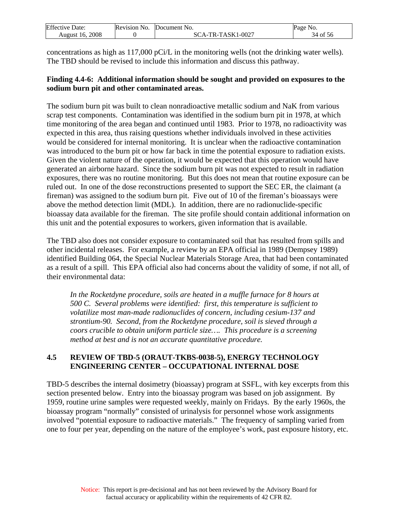<span id="page-34-0"></span>

| Effective<br>Date: | Revision No. | Document<br>` No.                  | Page No.                      |
|--------------------|--------------|------------------------------------|-------------------------------|
| 2008<br>August 16. |              | -TR-TASK1-0027<br>80<br>$\Delta$ - | $\sim$ $\sim$ $\sim$<br>of 56 |

concentrations as high as 117,000 pCi/L in the monitoring wells (not the drinking water wells). The TBD should be revised to include this information and discuss this pathway.

#### **Finding 4.4-6: Additional information should be sought and provided on exposures to the sodium burn pit and other contaminated areas.**

The sodium burn pit was built to clean nonradioactive metallic sodium and NaK from various scrap test components. Contamination was identified in the sodium burn pit in 1978, at which time monitoring of the area began and continued until 1983. Prior to 1978, no radioactivity was expected in this area, thus raising questions whether individuals involved in these activities would be considered for internal monitoring. It is unclear when the radioactive contamination was introduced to the burn pit or how far back in time the potential exposure to radiation exists. Given the violent nature of the operation, it would be expected that this operation would have generated an airborne hazard. Since the sodium burn pit was not expected to result in radiation exposures, there was no routine monitoring. But this does not mean that routine exposure can be ruled out. In one of the dose reconstructions presented to support the SEC ER, the claimant (a fireman) was assigned to the sodium burn pit. Five out of 10 of the fireman's bioassays were above the method detection limit (MDL). In addition, there are no radionuclide-specific bioassay data available for the fireman. The site profile should contain additional information on this unit and the potential exposures to workers, given information that is available.

The TBD also does not consider exposure to contaminated soil that has resulted from spills and other incidental releases. For example, a review by an EPA official in 1989 (Dempsey 1989) identified Building 064, the Special Nuclear Materials Storage Area, that had been contaminated as a result of a spill. This EPA official also had concerns about the validity of some, if not all, of their environmental data:

*In the Rocketdyne procedure, soils are heated in a muffle furnace for 8 hours at 500 C. Several problems were identified: first, this temperature is sufficient to volatilize most man-made radionuclides of concern, including cesium-137 and strontium-90. Second, from the Rocketdyne procedure, soil is sieved through a coors crucible to obtain uniform particle size…. This procedure is a screening method at best and is not an accurate quantitative procedure.* 

## **4.5 REVIEW OF TBD-5 (ORAUT-TKBS-0038-5), ENERGY TECHNOLOGY ENGINEERING CENTER – OCCUPATIONAL INTERNAL DOSE**

TBD-5 describes the internal dosimetry (bioassay) program at SSFL, with key excerpts from this section presented below. Entry into the bioassay program was based on job assignment. By 1959, routine urine samples were requested weekly, mainly on Fridays. By the early 1960s, the bioassay program "normally" consisted of urinalysis for personnel whose work assignments involved "potential exposure to radioactive materials." The frequency of sampling varied from one to four per year, depending on the nature of the employee's work, past exposure history, etc.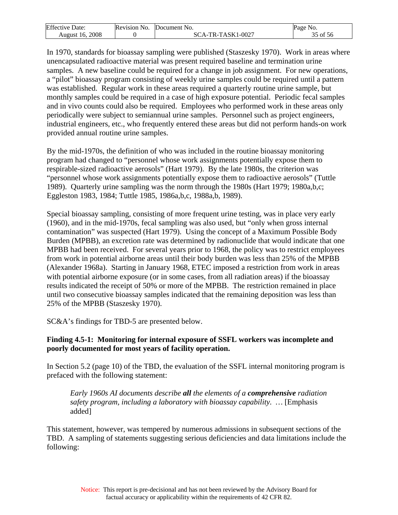| Effective          | <b>Revision</b> | N <sub>O</sub>                                                        | Page                   |
|--------------------|-----------------|-----------------------------------------------------------------------|------------------------|
| Jate:              | NO.             | Document                                                              | N <sub>O</sub>         |
| 2008<br>August 16. |                 | $TASK1$ - $\cup$<br>$1 - 0027$<br>$\Delta$ -<br>SC.<br>$\mathbf{R}$ – | $\sim$ $\sim$<br>of 56 |

In 1970, standards for bioassay sampling were published (Staszesky 1970). Work in areas where unencapsulated radioactive material was present required baseline and termination urine samples. A new baseline could be required for a change in job assignment. For new operations, a "pilot" bioassay program consisting of weekly urine samples could be required until a pattern was established. Regular work in these areas required a quarterly routine urine sample, but monthly samples could be required in a case of high exposure potential. Periodic fecal samples and in vivo counts could also be required. Employees who performed work in these areas only periodically were subject to semiannual urine samples. Personnel such as project engineers, industrial engineers, etc., who frequently entered these areas but did not perform hands-on work provided annual routine urine samples.

By the mid-1970s, the definition of who was included in the routine bioassay monitoring program had changed to "personnel whose work assignments potentially expose them to respirable-sized radioactive aerosols" (Hart 1979). By the late 1980s, the criterion was "personnel whose work assignments potentially expose them to radioactive aerosols" (Tuttle 1989). Quarterly urine sampling was the norm through the 1980s (Hart 1979; 1980a,b,c; Eggleston 1983, 1984; Tuttle 1985, 1986a,b,c, 1988a,b, 1989).

Special bioassay sampling, consisting of more frequent urine testing, was in place very early (1960), and in the mid-1970s, fecal sampling was also used, but "only when gross internal contamination" was suspected (Hart 1979). Using the concept of a Maximum Possible Body Burden (MPBB), an excretion rate was determined by radionuclide that would indicate that one MPBB had been received. For several years prior to 1968, the policy was to restrict employees from work in potential airborne areas until their body burden was less than 25% of the MPBB (Alexander 1968a). Starting in January 1968, ETEC imposed a restriction from work in areas with potential airborne exposure (or in some cases, from all radiation areas) if the bioassay results indicated the receipt of 50% or more of the MPBB. The restriction remained in place until two consecutive bioassay samples indicated that the remaining deposition was less than 25% of the MPBB (Staszesky 1970).

SC&A's findings for TBD-5 are presented below.

#### **Finding 4.5-1: Monitoring for internal exposure of SSFL workers was incomplete and poorly documented for most years of facility operation.**

In Section 5.2 (page 10) of the TBD, the evaluation of the SSFL internal monitoring program is prefaced with the following statement:

*Early 1960s AI documents describe all the elements of a comprehensive radiation safety program, including a laboratory with bioassay capability. …* [Emphasis added]

This statement, however, was tempered by numerous admissions in subsequent sections of the TBD. A sampling of statements suggesting serious deficiencies and data limitations include the following: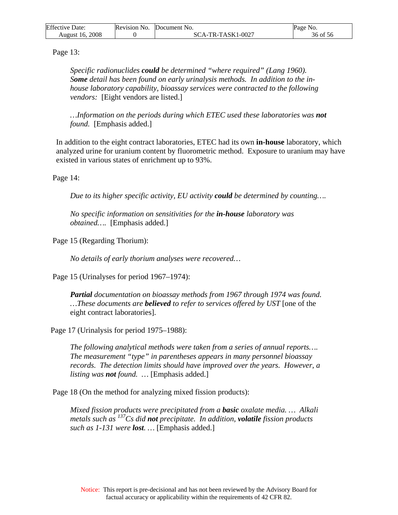| <b>Effective Date:</b> | Revision No. | Document No.      | Page No. |
|------------------------|--------------|-------------------|----------|
| August 16, 2008        |              | SCA-TR-TASK1-0027 | 36 of 56 |

Page 13:

*Specific radionuclides could be determined "where required" (Lang 1960).*  Some detail has been found on early urinalysis methods. In addition to the in*house laboratory capability, bioassay services were contracted to the following vendors:* [Eight vendors are listed.]

*…Information on the periods during which ETEC used these laboratories was not found.* [Emphasis added.]

 In addition to the eight contract laboratories, ETEC had its own **in-house** laboratory, which analyzed urine for uranium content by fluorometric method. Exposure to uranium may have existed in various states of enrichment up to 93%.

Page 14:

*Due to its higher specific activity, EU activity could be determined by counting….* 

*No specific information on sensitivities for the in-house laboratory was obtained….* [Emphasis added.]

Page 15 (Regarding Thorium):

*No details of early thorium analyses were recovered…* 

Page 15 (Urinalyses for period 1967–1974):

*Partial documentation on bioassay methods from 1967 through 1974 was found. …These documents are believed to refer to services offered by UST* [one of the eight contract laboratories].

Page 17 (Urinalysis for period 1975–1988):

*The following analytical methods were taken from a series of annual reports…. The measurement "type" in parentheses appears in many personnel bioassay records. The detection limits should have improved over the years. However, a listing was not found. …* [Emphasis added.]

Page 18 (On the method for analyzing mixed fission products):

*Mixed fission products were precipitated from a basic oxalate media. … Alkali metals such as 137Cs did not precipitate. In addition, volatile fission products such as 1-131 were lost. …* [Emphasis added.]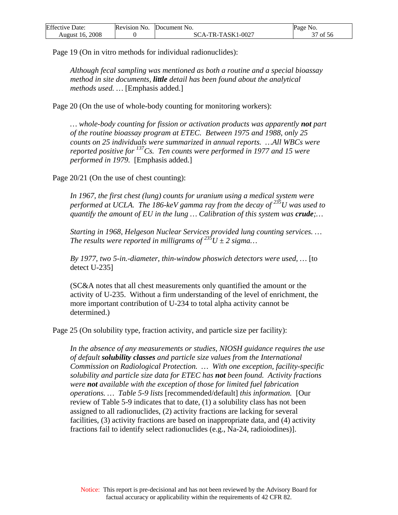| <b>Effective I</b><br>Date: | Revision No. | <b>Document</b> No. | Page No.             |
|-----------------------------|--------------|---------------------|----------------------|
| 2008                        |              | SCA-TR-TASK1·       | $\sim$ $\sim$ $\sim$ |
| August 16.                  |              | $.1 - 0027$         | of 56                |

Page 19 (On in vitro methods for individual radionuclides):

*Although fecal sampling was mentioned as both a routine and a special bioassay method in site documents, little detail has been found about the analytical methods used. …* [Emphasis added.]

Page 20 (On the use of whole-body counting for monitoring workers):

*… whole-body counting for fission or activation products was apparently not part of the routine bioassay program at ETEC. Between 1975 and 1988, only 25 counts on 25 individuals were summarized in annual reports. …All WBCs were reported positive for 137Cs. Ten counts were performed in 1977 and 15 were performed in 1979.* [Emphasis added.]

Page 20/21 (On the use of chest counting):

*In 1967, the first chest (lung) counts for uranium using a medical system were performed at UCLA. The 186-keV gamma ray from the decay of 235U was used to quantify the amount of EU in the lung … Calibration of this system was crude;…* 

*Starting in 1968, Helgeson Nuclear Services provided lung counting services. … The results were reported in milligrams of*  $235U \pm 2$  *sigma...* 

*By 1977, two 5-in.-diameter, thin-window phoswich detectors were used, …* [to detect U-235]

(SC&A notes that all chest measurements only quantified the amount or the activity of U-235. Without a firm understanding of the level of enrichment, the more important contribution of U-234 to total alpha activity cannot be determined.)

Page 25 (On solubility type, fraction activity, and particle size per facility):

*In the absence of any measurements or studies, NIOSH guidance requires the use of default solubility classes and particle size values from the International Commission on Radiological Protection. … With one exception, facility-specific solubility and particle size data for ETEC has not been found. Activity fractions were not available with the exception of those for limited fuel fabrication operations. … Table 5-9 lists* [recommended/default] *this information.* [Our review of Table 5-9 indicates that to date, (1) a solubility class has not been assigned to all radionuclides, (2) activity fractions are lacking for several facilities, (3) activity fractions are based on inappropriate data, and (4) activity fractions fail to identify select radionuclides (e.g., Na-24, radioiodines)].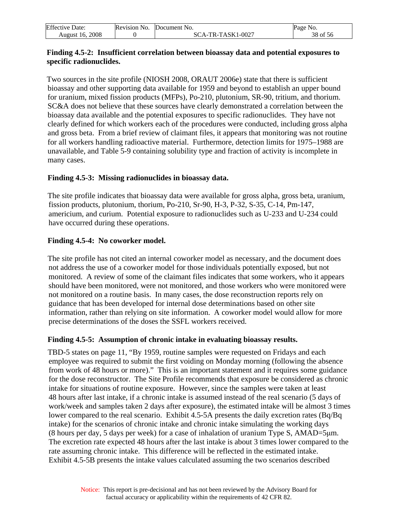| Effective<br>Date:            | Revision No. | Document No.   | Page<br>NO. |
|-------------------------------|--------------|----------------|-------------|
| 2008<br>August<br><b>ID</b> . |              | -TR-TASK1-0027 | -56<br>ОI   |

#### **Finding 4.5-2: Insufficient correlation between bioassay data and potential exposures to specific radionuclides.**

Two sources in the site profile (NIOSH 2008, ORAUT 2006e) state that there is sufficient bioassay and other supporting data available for 1959 and beyond to establish an upper bound for uranium, mixed fission products (MFPs), Po-210, plutonium, SR-90, tritium, and thorium. SC&A does not believe that these sources have clearly demonstrated a correlation between the bioassay data available and the potential exposures to specific radionuclides. They have not clearly defined for which workers each of the procedures were conducted, including gross alpha and gross beta. From a brief review of claimant files, it appears that monitoring was not routine for all workers handling radioactive material. Furthermore, detection limits for 1975–1988 are unavailable, and Table 5-9 containing solubility type and fraction of activity is incomplete in many cases.

#### **Finding 4.5-3: Missing radionuclides in bioassay data.**

The site profile indicates that bioassay data were available for gross alpha, gross beta, uranium, fission products, plutonium, thorium, Po-210, Sr-90, H-3, P-32, S-35, C-14, Pm-147, americium, and curium. Potential exposure to radionuclides such as U-233 and U-234 could have occurred during these operations.

## **Finding 4.5-4: No coworker model.**

The site profile has not cited an internal coworker model as necessary, and the document does not address the use of a coworker model for those individuals potentially exposed, but not monitored. A review of some of the claimant files indicates that some workers, who it appears should have been monitored, were not monitored, and those workers who were monitored were not monitored on a routine basis. In many cases, the dose reconstruction reports rely on guidance that has been developed for internal dose determinations based on other site information, rather than relying on site information. A coworker model would allow for more precise determinations of the doses the SSFL workers received.

#### **Finding 4.5-5: Assumption of chronic intake in evaluating bioassay results.**

TBD-5 states on page 11, "By 1959, routine samples were requested on Fridays and each employee was required to submit the first voiding on Monday morning (following the absence from work of 48 hours or more)." This is an important statement and it requires some guidance for the dose reconstructor. The Site Profile recommends that exposure be considered as chronic intake for situations of routine exposure. However, since the samples were taken at least 48 hours after last intake, if a chronic intake is assumed instead of the real scenario (5 days of work/week and samples taken 2 days after exposure), the estimated intake will be almost 3 times lower compared to the real scenario. Exhibit 4.5-5A presents the daily excretion rates (Bq/Bq intake) for the scenarios of chronic intake and chronic intake simulating the working days (8 hours per day, 5 days per week) for a case of inhalation of uranium Type S, AMAD=5μm. The excretion rate expected 48 hours after the last intake is about 3 times lower compared to the rate assuming chronic intake. This difference will be reflected in the estimated intake. Exhibit 4.5-5B presents the intake values calculated assuming the two scenarios described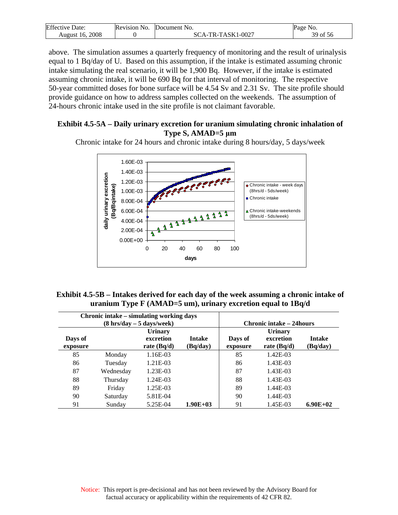| Effective<br>Date: | Revision No. | <b>IDocument No.</b>    | Page<br>N <sub>O</sub> .                |
|--------------------|--------------|-------------------------|-----------------------------------------|
| 2008<br>August 16. |              | TR-TASK1-0027<br>'А - 1 | $\sim$ $\sim$ $\sim$<br>30<br>ΟĪ<br>-20 |

above. The simulation assumes a quarterly frequency of monitoring and the result of urinalysis equal to 1 Bq/day of U. Based on this assumption, if the intake is estimated assuming chronic intake simulating the real scenario, it will be 1,900 Bq. However, if the intake is estimated assuming chronic intake, it will be 690 Bq for that interval of monitoring. The respective 50-year committed doses for bone surface will be 4.54 Sv and 2.31 Sv. The site profile should provide guidance on how to address samples collected on the weekends. The assumption of 24-hours chronic intake used in the site profile is not claimant favorable.

#### **Exhibit 4.5-5A – Daily urinary excretion for uranium simulating chronic inhalation of Type S, AMAD=5 μm**

Chronic intake for 24 hours and chronic intake during 8 hours/day, 5 days/week



| Exhibit 4.5-5B – Intakes derived for each day of the week assuming a chronic intake of |  |
|----------------------------------------------------------------------------------------|--|
| uranium Type $F(AMAD=5$ um), urinary excretion equal to $1Bq/d$                        |  |

|          |           | Chronic intake – simulating working days    |               |                                 |                |               |
|----------|-----------|---------------------------------------------|---------------|---------------------------------|----------------|---------------|
|          |           | $(8 \text{ hrs/day} - 5 \text{ days/week})$ |               | <b>Chronic intake – 24hours</b> |                |               |
|          |           | <b>Urinary</b>                              |               |                                 | <b>Urinary</b> |               |
| Days of  |           | excretion                                   | <b>Intake</b> | Days of                         | excretion      | <b>Intake</b> |
| exposure |           | rate $(Bq/d)$                               | (Bq/day)      | exposure                        | rate $(Bq/d)$  | (Bq/day)      |
| 85       | Monday    | 1.16E-03                                    |               | 85                              | 1.42E-03       |               |
| 86       | Tuesday   | $1.21E-03$                                  |               | 86                              | 1.43E-03       |               |
| 87       | Wednesday | 1.23E-03                                    |               | 87                              | 1.43E-03       |               |
| 88       | Thursday  | 1.24E-03                                    |               | 88                              | 1.43E-03       |               |
| 89       | Friday    | 1.25E-03                                    |               | 89                              | 1.44E-03       |               |
| 90       | Saturday  | 5.81E-04                                    |               | 90                              | 1.44E-03       |               |
| 91       | Sunday    | 5.25E-04                                    | $1.90E + 03$  | 91                              | 1.45E-03       | $6.90E + 02$  |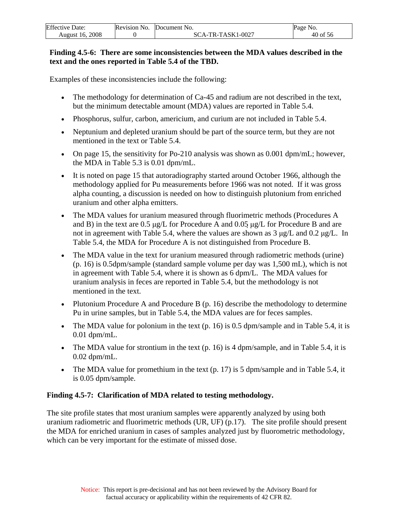| <b>Effective Date:</b> | Revision No. Document No. | Page No. |
|------------------------|---------------------------|----------|
| August 16, 2008        | SCA-TR-TASK1-0027         | 40 of 56 |

#### **Finding 4.5-6: There are some inconsistencies between the MDA values described in the text and the ones reported in Table 5.4 of the TBD.**

Examples of these inconsistencies include the following:

- The methodology for determination of Ca-45 and radium are not described in the text, but the minimum detectable amount (MDA) values are reported in Table 5.4.
- Phosphorus, sulfur, carbon, americium, and curium are not included in Table 5.4.
- Neptunium and depleted uranium should be part of the source term, but they are not mentioned in the text or Table 5.4.
- On page 15, the sensitivity for Po-210 analysis was shown as 0.001 dpm/mL; however, the MDA in Table 5.3 is 0.01 dpm/mL.
- It is noted on page 15 that autoradiography started around October 1966, although the methodology applied for Pu measurements before 1966 was not noted. If it was gross alpha counting, a discussion is needed on how to distinguish plutonium from enriched uranium and other alpha emitters.
- The MDA values for uranium measured through fluorimetric methods (Procedures A and B) in the text are 0.5 μg/L for Procedure A and 0.05 μg/L for Procedure B and are not in agreement with Table 5.4, where the values are shown as 3 μg/L and 0.2 μg/L. In Table 5.4, the MDA for Procedure A is not distinguished from Procedure B.
- The MDA value in the text for uranium measured through radiometric methods (urine) (p. 16) is 0.5dpm/sample (standard sample volume per day was 1,500 mL), which is not in agreement with Table 5.4, where it is shown as 6 dpm/L. The MDA values for uranium analysis in feces are reported in Table 5.4, but the methodology is not mentioned in the text.
- Plutonium Procedure A and Procedure B (p. 16) describe the methodology to determine Pu in urine samples, but in Table 5.4, the MDA values are for feces samples.
- The MDA value for polonium in the text  $(p. 16)$  is 0.5 dpm/sample and in Table 5.4, it is 0.01 dpm/mL.
- The MDA value for strontium in the text  $(p. 16)$  is 4 dpm/sample, and in Table 5.4, it is 0.02 dpm/mL.
- The MDA value for promethium in the text  $(p, 17)$  is 5 dpm/sample and in Table 5.4, it is 0.05 dpm/sample.

#### **Finding 4.5-7: Clarification of MDA related to testing methodology.**

The site profile states that most uranium samples were apparently analyzed by using both uranium radiometric and fluorimetric methods (UR, UF) (p.17). The site profile should present the MDA for enriched uranium in cases of samples analyzed just by fluorometric methodology, which can be very important for the estimate of missed dose.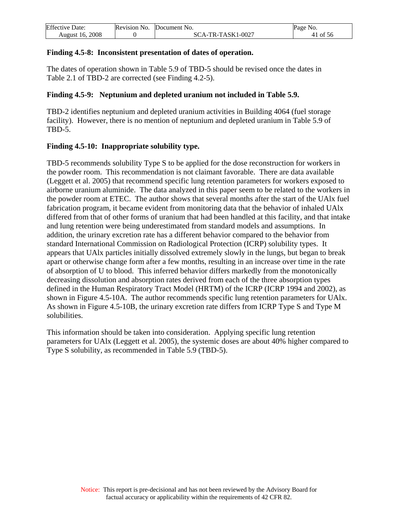| Effective<br>Date: | Revision No. | <b>Document</b> No.      | Page No. |
|--------------------|--------------|--------------------------|----------|
| 2008<br>August 16. |              | -TR-TASK1-0027<br>$SCA-$ | 1 of 56  |

#### **Finding 4.5-8: Inconsistent presentation of dates of operation.**

The dates of operation shown in Table 5.9 of TBD-5 should be revised once the dates in Table 2.1 of TBD-2 are corrected (see Finding 4.2-5).

#### **Finding 4.5-9: Neptunium and depleted uranium not included in Table 5.9.**

TBD-2 identifies neptunium and depleted uranium activities in Building 4064 (fuel storage facility). However, there is no mention of neptunium and depleted uranium in Table 5.9 of TBD-5.

#### **Finding 4.5-10: Inappropriate solubility type.**

TBD-5 recommends solubility Type S to be applied for the dose reconstruction for workers in the powder room. This recommendation is not claimant favorable. There are data available (Leggett et al. 2005) that recommend specific lung retention parameters for workers exposed to airborne uranium aluminide. The data analyzed in this paper seem to be related to the workers in the powder room at ETEC. The author shows that several months after the start of the UAlx fuel fabrication program, it became evident from monitoring data that the behavior of inhaled UAlx differed from that of other forms of uranium that had been handled at this facility, and that intake and lung retention were being underestimated from standard models and assumptions. In addition, the urinary excretion rate has a different behavior compared to the behavior from standard International Commission on Radiological Protection (ICRP) solubility types. It appears that UAlx particles initially dissolved extremely slowly in the lungs, but began to break apart or otherwise change form after a few months, resulting in an increase over time in the rate of absorption of U to blood. This inferred behavior differs markedly from the monotonically decreasing dissolution and absorption rates derived from each of the three absorption types defined in the Human Respiratory Tract Model (HRTM) of the ICRP (ICRP 1994 and 2002), as shown in Figure 4.5-10A. The author recommends specific lung retention parameters for UAlx. As shown in Figure 4.5-10B, the urinary excretion rate differs from ICRP Type S and Type M solubilities.

This information should be taken into consideration. Applying specific lung retention parameters for UAlx (Leggett et al. 2005), the systemic doses are about 40% higher compared to Type S solubility, as recommended in Table 5.9 (TBD-5).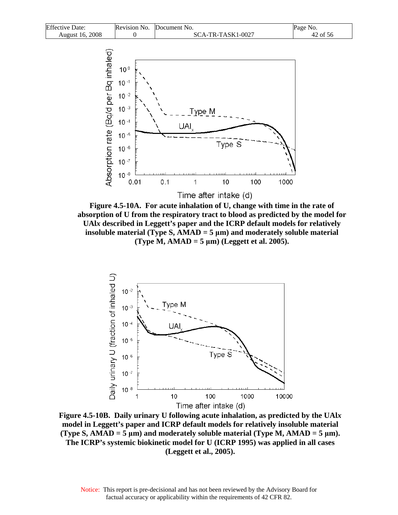



**Figure 4.5-10A. For acute inhalation of U, change with time in the rate of absorption of U from the respiratory tract to blood as predicted by the model for UAl***x* **described in Leggett's paper and the ICRP default models for relatively insoluble material (Type S, AMAD = 5 μm) and moderately soluble material (Type M, AMAD = 5 μm) (Leggett et al. 2005).** 



**Figure 4.5-10B. Daily urinary U following acute inhalation, as predicted by the UAl***x*  **model in Leggett's paper and ICRP default models for relatively insoluble material**   $(T$ ype S,  $A$ MAD = 5  $\mu$ m) and moderately soluble material (Type M,  $A$ MAD = 5  $\mu$ m). **The ICRP's systemic biokinetic model for U (ICRP 1995) was applied in all cases (Leggett et al., 2005).**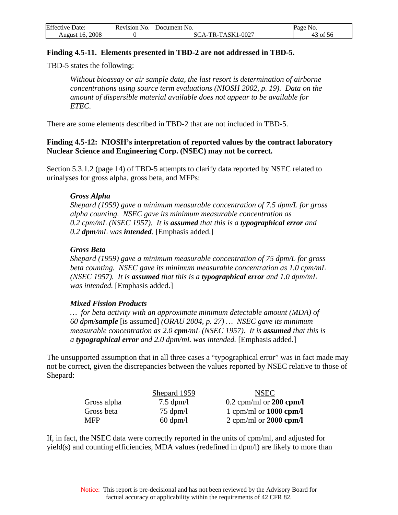| <b>Effective Date:</b> | Revision No. Document No. | Page No. |
|------------------------|---------------------------|----------|
| <b>August 16, 2008</b> | SCA-TR-TASK1-0027         | 43 of 56 |

#### **Finding 4.5-11. Elements presented in TBD-2 are not addressed in TBD-5.**

TBD-5 states the following:

*Without bioassay or air sample data, the last resort is determination of airborne concentrations using source term evaluations (NIOSH 2002, p. 19). Data on the amount of dispersible material available does not appear to be available for ETEC.* 

There are some elements described in TBD-2 that are not included in TBD-5.

#### **Finding 4.5-12: NIOSH's interpretation of reported values by the contract laboratory Nuclear Science and Engineering Corp. (NSEC) may not be correct.**

Section 5.3.1.2 (page 14) of TBD-5 attempts to clarify data reported by NSEC related to urinalyses for gross alpha, gross beta, and MFPs:

#### *Gross Alpha*

*Shepard (1959) gave a minimum measurable concentration of 7.5 dpm/L for gross alpha counting. NSEC gave its minimum measurable concentration as 0.2 cpm/mL (NSEC 1957). It is assumed that this is a typographical error and 0.2 dpm/mL was intended.* [Emphasis added.]

#### *Gross Beta*

*Shepard (1959) gave a minimum measurable concentration of 75 dpm/L for gross beta counting. NSEC gave its minimum measurable concentration as 1.0 cpm/mL (NSEC 1957). It is assumed that this is a typographical error and 1.0 dpm/mL was intended.* [Emphasis added.]

#### *Mixed Fission Products*

*… for beta activity with an approximate minimum detectable amount (MDA) of 60 dpm/sample* [is assumed] *(ORAU 2004, p. 27) … NSEC gave its minimum measurable concentration as 2.0 cpm/mL (NSEC 1957). It is assumed that this is a typographical error and 2.0 dpm/mL was intended.* [Emphasis added.]

The unsupported assumption that in all three cases a "typographical error" was in fact made may not be correct, given the discrepancies between the values reported by NSEC relative to those of Shepard:

| Shepard 1959        | <b>NSEC</b>               |
|---------------------|---------------------------|
| $7.5 \text{ dpm/l}$ | $0.2$ cpm/ml or 200 cpm/l |
| $75 \text{ dpm}/l$  | 1 cpm/ml or $1000$ cpm/l  |
| $60 \text{ dpm}/l$  | 2 cpm/ml or $2000$ cpm/l  |
|                     |                           |

If, in fact, the NSEC data were correctly reported in the units of cpm/ml, and adjusted for yield(s) and counting efficiencies, MDA values (redefined in dpm/l) are likely to more than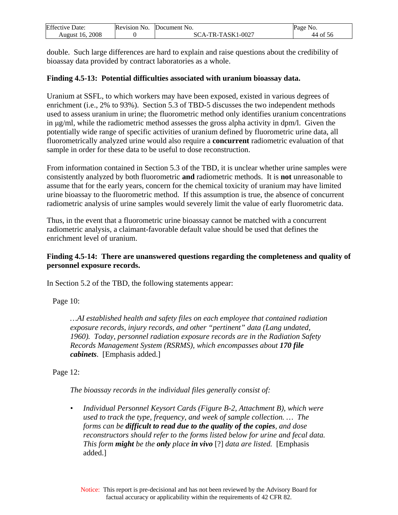| Effective             | Revision | <b>Document</b>                              | Page             |
|-----------------------|----------|----------------------------------------------|------------------|
| Date:                 | NO.      | 'NO.                                         | N <sub>O</sub> . |
| 2008<br>-16<br>August |          | -TASK1-<br>$1 - 0027$<br>TD.<br>$\mathbf{r}$ | 0Ī<br>-56<br>44  |

double. Such large differences are hard to explain and raise questions about the credibility of bioassay data provided by contract laboratories as a whole.

#### **Finding 4.5-13: Potential difficulties associated with uranium bioassay data.**

Uranium at SSFL, to which workers may have been exposed, existed in various degrees of enrichment (i.e., 2% to 93%). Section 5.3 of TBD-5 discusses the two independent methods used to assess uranium in urine; the fluorometric method only identifies uranium concentrations in μg/ml, while the radiometric method assesses the gross alpha activity in dpm/l. Given the potentially wide range of specific activities of uranium defined by fluorometric urine data, all fluorometrically analyzed urine would also require a **concurrent** radiometric evaluation of that sample in order for these data to be useful to dose reconstruction.

From information contained in Section 5.3 of the TBD, it is unclear whether urine samples were consistently analyzed by both fluorometric **and** radiometric methods. It is **not** unreasonable to assume that for the early years, concern for the chemical toxicity of uranium may have limited urine bioassay to the fluorometric method. If this assumption is true, the absence of concurrent radiometric analysis of urine samples would severely limit the value of early fluorometric data.

Thus, in the event that a fluorometric urine bioassay cannot be matched with a concurrent radiometric analysis, a claimant-favorable default value should be used that defines the enrichment level of uranium.

#### **Finding 4.5-14: There are unanswered questions regarding the completeness and quality of personnel exposure records.**

In Section 5.2 of the TBD, the following statements appear:

Page 10:

*…AI established health and safety files on each employee that contained radiation exposure records, injury records, and other "pertinent" data (Lang undated, 1960). Today, personnel radiation exposure records are in the Radiation Safety Records Management System (RSRMS), which encompasses about 170 file cabinets*. [Emphasis added.]

Page 12:

*The bioassay records in the individual files generally consist of:* 

*• Individual Personnel Keysort Cards (Figure B-2, Attachment B), which were used to track the type, frequency, and week of sample collection. … The forms can be difficult to read due to the quality of the copies, and dose reconstructors should refer to the forms listed below for urine and fecal data. This form might be the only place in vivo* [?] *data are listed.* [Emphasis added.]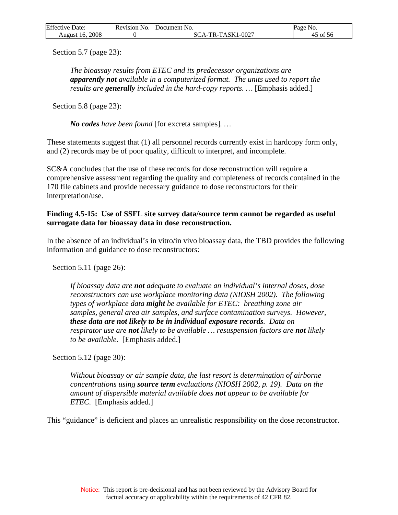| <b>Effective Date:</b> | Revision No. | Document No.      | Page No. |
|------------------------|--------------|-------------------|----------|
| August 16, 2008        |              | SCA-TR-TASK1-0027 | of 56    |

Section 5.7 (page 23):

*The bioassay results from ETEC and its predecessor organizations are apparently not available in a computerized format. The units used to report the results are generally included in the hard-copy reports. …* [Emphasis added.]

Section 5.8 (page 23):

*No codes have been found* [for excreta samples]*. …* 

These statements suggest that (1) all personnel records currently exist in hardcopy form only, and (2) records may be of poor quality, difficult to interpret, and incomplete.

SC&A concludes that the use of these records for dose reconstruction will require a comprehensive assessment regarding the quality and completeness of records contained in the 170 file cabinets and provide necessary guidance to dose reconstructors for their interpretation/use.

#### **Finding 4.5-15: Use of SSFL site survey data/source term cannot be regarded as useful surrogate data for bioassay data in dose reconstruction.**

In the absence of an individual's in vitro/in vivo bioassay data, the TBD provides the following information and guidance to dose reconstructors:

Section 5.11 (page 26):

*If bioassay data are not adequate to evaluate an individual's internal doses, dose reconstructors can use workplace monitoring data (NIOSH 2002). The following types of workplace data might be available for ETEC: breathing zone air samples, general area air samples, and surface contamination surveys. However, these data are not likely to be in individual exposure records. Data on respirator use are not likely to be available … resuspension factors are not likely to be available.* [Emphasis added.]

Section 5.12 (page 30):

*Without bioassay or air sample data, the last resort is determination of airborne concentrations using source term evaluations (NIOSH 2002, p. 19). Data on the amount of dispersible material available does not appear to be available for ETEC.* [Emphasis added.]

This "guidance" is deficient and places an unrealistic responsibility on the dose reconstructor.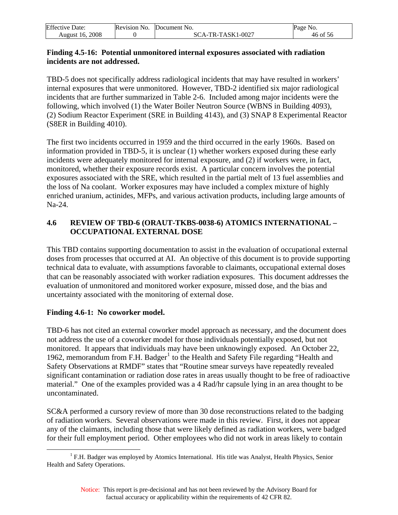<span id="page-46-0"></span>

| <b>Effective Date:</b> | <b>Revision No.</b> | <b>Document</b> No.     | Page<br>NO. |
|------------------------|---------------------|-------------------------|-------------|
| 2008<br>August 16.     |                     | -TR-TASK1-0027<br>SCA-' | of 56       |

#### **Finding 4.5-16: Potential unmonitored internal exposures associated with radiation incidents are not addressed.**

TBD-5 does not specifically address radiological incidents that may have resulted in workers' internal exposures that were unmonitored. However, TBD-2 identified six major radiological incidents that are further summarized in Table 2-6. Included among major incidents were the following, which involved (1) the Water Boiler Neutron Source (WBNS in Building 4093), (2) Sodium Reactor Experiment (SRE in Building 4143), and (3) SNAP 8 Experimental Reactor (S8ER in Building 4010).

The first two incidents occurred in 1959 and the third occurred in the early 1960s. Based on information provided in TBD-5, it is unclear (1) whether workers exposed during these early incidents were adequately monitored for internal exposure, and (2) if workers were, in fact, monitored, whether their exposure records exist. A particular concern involves the potential exposures associated with the SRE, which resulted in the partial melt of 13 fuel assemblies and the loss of Na coolant. Worker exposures may have included a complex mixture of highly enriched uranium, actinides, MFPs, and various activation products, including large amounts of Na-24.

## **4.6 REVIEW OF TBD-6 (ORAUT-TKBS-0038-6) ATOMICS INTERNATIONAL – OCCUPATIONAL EXTERNAL DOSE**

This TBD contains supporting documentation to assist in the evaluation of occupational external doses from processes that occurred at AI. An objective of this document is to provide supporting technical data to evaluate, with assumptions favorable to claimants, occupational external doses that can be reasonably associated with worker radiation exposures. This document addresses the evaluation of unmonitored and monitored worker exposure, missed dose, and the bias and uncertainty associated with the monitoring of external dose.

#### **Finding 4.6-1: No coworker model.**

TBD-6 has not cited an external coworker model approach as necessary, and the document does not address the use of a coworker model for those individuals potentially exposed, but not monitored. It appears that individuals may have been unknowingly exposed. An October 22, [1](#page-46-0)962, memorandum from F.H. Badger<sup>1</sup> to the Health and Safety File regarding "Health and Safety Observations at RMDF" states that "Routine smear surveys have repeatedly revealed significant contamination or radiation dose rates in areas usually thought to be free of radioactive material." One of the examples provided was a 4 Rad/hr capsule lying in an area thought to be uncontaminated.

SC&A performed a cursory review of more than 30 dose reconstructions related to the badging of radiation workers. Several observations were made in this review. First, it does not appear any of the claimants, including those that were likely defined as radiation workers, were badged for their full employment period. Other employees who did not work in areas likely to contain

 $\overline{a}$ <sup>1</sup> F.H. Badger was employed by Atomics International. His title was Analyst, Health Physics, Senior Health and Safety Operations.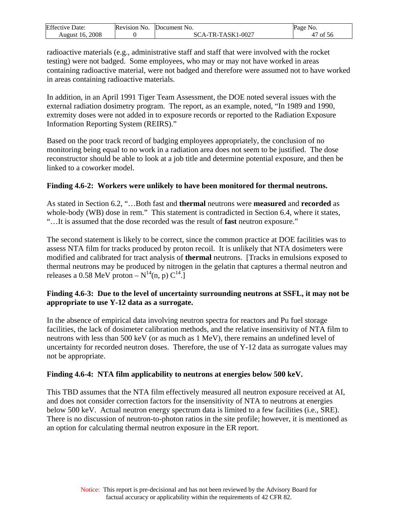| Effective 1<br>Date: | <b>Revision No.</b> | Document No.                 | Page<br>NO. |
|----------------------|---------------------|------------------------------|-------------|
| 2008<br>August 16.   |                     | -TR-TASK1-0027<br>$\Delta$ - | of 56       |

radioactive materials (e.g., administrative staff and staff that were involved with the rocket testing) were not badged. Some employees, who may or may not have worked in areas containing radioactive material, were not badged and therefore were assumed not to have worked in areas containing radioactive materials.

In addition, in an April 1991 Tiger Team Assessment, the DOE noted several issues with the external radiation dosimetry program. The report, as an example, noted, "In 1989 and 1990, extremity doses were not added in to exposure records or reported to the Radiation Exposure Information Reporting System (REIRS)."

Based on the poor track record of badging employees appropriately, the conclusion of no monitoring being equal to no work in a radiation area does not seem to be justified. The dose reconstructor should be able to look at a job title and determine potential exposure, and then be linked to a coworker model.

## **Finding 4.6-2: Workers were unlikely to have been monitored for thermal neutrons.**

As stated in Section 6.2, "…Both fast and **thermal** neutrons were **measured** and **recorded** as whole-body (WB) dose in rem." This statement is contradicted in Section 6.4, where it states, "…It is assumed that the dose recorded was the result of **fast** neutron exposure."

The second statement is likely to be correct, since the common practice at DOE facilities was to assess NTA film for tracks produced by proton recoil. It is unlikely that NTA dosimeters were modified and calibrated for tract analysis of **thermal** neutrons. [Tracks in emulsions exposed to thermal neutrons may be produced by nitrogen in the gelatin that captures a thermal neutron and releases a 0.58 MeV proton –  $N^{14}(n, p) C^{14}$ .

## **Finding 4.6-3: Due to the level of uncertainty surrounding neutrons at SSFL, it may not be appropriate to use Y-12 data as a surrogate.**

In the absence of empirical data involving neutron spectra for reactors and Pu fuel storage facilities, the lack of dosimeter calibration methods, and the relative insensitivity of NTA film to neutrons with less than 500 keV (or as much as 1 MeV), there remains an undefined level of uncertainty for recorded neutron doses. Therefore, the use of  $Y-12$  data as surrogate values may not be appropriate.

#### **Finding 4.6-4: NTA film applicability to neutrons at energies below 500 keV.**

This TBD assumes that the NTA film effectively measured all neutron exposure received at AI, and does not consider correction factors for the insensitivity of NTA to neutrons at energies below 500 keV. Actual neutron energy spectrum data is limited to a few facilities (i.e., SRE). There is no discussion of neutron-to-photon ratios in the site profile; however, it is mentioned as an option for calculating thermal neutron exposure in the ER report.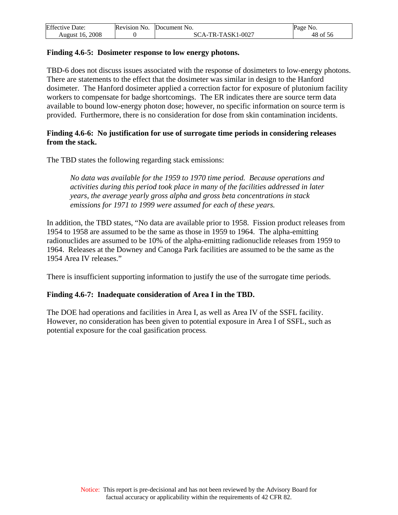| Effective<br>Date: | Revision No. | <b>Document</b> No.                         | Page<br>NO.                            |
|--------------------|--------------|---------------------------------------------|----------------------------------------|
| 2008<br>August 16. |              | $1 - 0027$<br>-TASK1<br>$TR-$<br>$\Delta$ - | $\sim$ $\sim$ $\sim$<br>48<br>ΟĪ<br>рb |

#### **Finding 4.6-5: Dosimeter response to low energy photons.**

TBD-6 does not discuss issues associated with the response of dosimeters to low-energy photons. There are statements to the effect that the dosimeter was similar in design to the Hanford dosimeter. The Hanford dosimeter applied a correction factor for exposure of plutonium facility workers to compensate for badge shortcomings. The ER indicates there are source term data available to bound low-energy photon dose; however, no specific information on source term is provided. Furthermore, there is no consideration for dose from skin contamination incidents.

#### **Finding 4.6-6: No justification for use of surrogate time periods in considering releases from the stack.**

The TBD states the following regarding stack emissions:

*No data was available for the 1959 to 1970 time period. Because operations and activities during this period took place in many of the facilities addressed in later years, the average yearly gross alpha and gross beta concentrations in stack emissions for 1971 to 1999 were assumed for each of these years.*

In addition, the TBD states, "No data are available prior to 1958. Fission product releases from 1954 to 1958 are assumed to be the same as those in 1959 to 1964. The alpha-emitting radionuclides are assumed to be 10% of the alpha-emitting radionuclide releases from 1959 to 1964. Releases at the Downey and Canoga Park facilities are assumed to be the same as the 1954 Area IV releases."

There is insufficient supporting information to justify the use of the surrogate time periods.

#### **Finding 4.6-7: Inadequate consideration of Area I in the TBD.**

The DOE had operations and facilities in Area I, as well as Area IV of the SSFL facility. However, no consideration has been given to potential exposure in Area I of SSFL, such as potential exposure for the coal gasification process.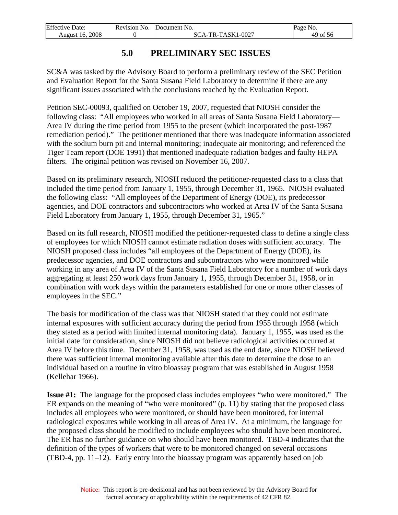<span id="page-49-0"></span>

| <b>Effective Date:</b> | Revision No. | Document No.      | Page No. |
|------------------------|--------------|-------------------|----------|
| August 16. 2008        |              | SCA-TR-TASK1-0027 | 49 of 56 |

# **5.0 PRELIMINARY SEC ISSUES**

SC&A was tasked by the Advisory Board to perform a preliminary review of the SEC Petition and Evaluation Report for the Santa Susana Field Laboratory to determine if there are any significant issues associated with the conclusions reached by the Evaluation Report.

Petition SEC-00093, qualified on October 19, 2007, requested that NIOSH consider the following class: "All employees who worked in all areas of Santa Susana Field Laboratory— Area IV during the time period from 1955 to the present (which incorporated the post-1987 remediation period)."The petitioner mentioned that there was inadequate information associated with the sodium burn pit and internal monitoring; inadequate air monitoring; and referenced the Tiger Team report (DOE 1991) that mentioned inadequate radiation badges and faulty HEPA filters. The original petition was revised on November 16, 2007.

Based on its preliminary research, NIOSH reduced the petitioner-requested class to a class that included the time period from January 1, 1955, through December 31, 1965. NIOSH evaluated the following class: "All employees of the Department of Energy (DOE), its predecessor agencies, and DOE contractors and subcontractors who worked at Area IV of the Santa Susana Field Laboratory from January 1, 1955, through December 31, 1965."

Based on its full research, NIOSH modified the petitioner-requested class to define a single class of employees for which NIOSH cannot estimate radiation doses with sufficient accuracy. The NIOSH proposed class includes "all employees of the Department of Energy (DOE), its predecessor agencies, and DOE contractors and subcontractors who were monitored while working in any area of Area IV of the Santa Susana Field Laboratory for a number of work days aggregating at least 250 work days from January 1, 1955, through December 31, 1958, or in combination with work days within the parameters established for one or more other classes of employees in the SEC."

The basis for modification of the class was that NIOSH stated that they could not estimate internal exposures with sufficient accuracy during the period from 1955 through 1958 (which they stated as a period with limited internal monitoring data). January 1, 1955, was used as the initial date for consideration, since NIOSH did not believe radiological activities occurred at Area IV before this time. December 31, 1958, was used as the end date, since NIOSH believed there was sufficient internal monitoring available after this date to determine the dose to an individual based on a routine in vitro bioassay program that was established in August 1958 (Kellehar 1966).

**Issue #1:** The language for the proposed class includes employees "who were monitored." The ER expands on the meaning of "who were monitored" (p. 11) by stating that the proposed class includes all employees who were monitored, or should have been monitored, for internal radiological exposures while working in all areas of Area IV. At a minimum, the language for the proposed class should be modified to include employees who should have been monitored. The ER has no further guidance on who should have been monitored. TBD-4 indicates that the definition of the types of workers that were to be monitored changed on several occasions (TBD-4, pp. 11–12). Early entry into the bioassay program was apparently based on job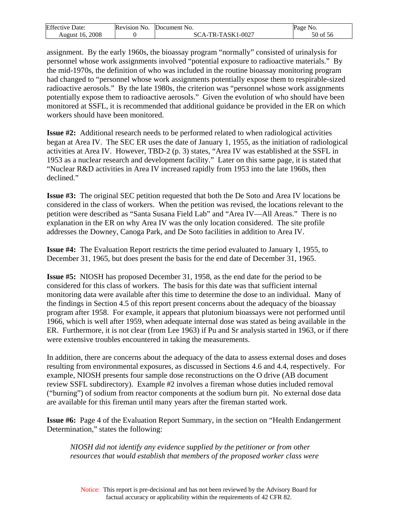| <b>Effective Date:</b> | Revision No. | <b>Document</b> No. | Page No.             |
|------------------------|--------------|---------------------|----------------------|
| 2008                   |              | CA-TR-TASK1-0027    | $\sim$ $\sim$ $\sim$ |
| August 16.             |              | SC.                 | 50 of 56             |

assignment. By the early 1960s, the bioassay program "normally" consisted of urinalysis for personnel whose work assignments involved "potential exposure to radioactive materials." By the mid-1970s, the definition of who was included in the routine bioassay monitoring program had changed to "personnel whose work assignments potentially expose them to respirable-sized radioactive aerosols." By the late 1980s, the criterion was "personnel whose work assignments potentially expose them to radioactive aerosols." Given the evolution of who should have been monitored at SSFL, it is recommended that additional guidance be provided in the ER on which workers should have been monitored.

**Issue #2:** Additional research needs to be performed related to when radiological activities began at Area IV. The SEC ER uses the date of January 1, 1955, as the initiation of radiological activities at Area IV. However, TBD-2 (p. 3) states, "Area IV was established at the SSFL in 1953 as a nuclear research and development facility." Later on this same page, it is stated that "Nuclear R&D activities in Area IV increased rapidly from 1953 into the late 1960s, then declined."

**Issue #3:** The original SEC petition requested that both the De Soto and Area IV locations be considered in the class of workers. When the petition was revised, the locations relevant to the petition were described as "Santa Susana Field Lab" and "Area IV—All Areas." There is no explanation in the ER on why Area IV was the only location considered. The site profile addresses the Downey, Canoga Park, and De Soto facilities in addition to Area IV.

**Issue #4:** The Evaluation Report restricts the time period evaluated to January 1, 1955, to December 31, 1965, but does present the basis for the end date of December 31, 1965.

**Issue #5:** NIOSH has proposed December 31, 1958, as the end date for the period to be considered for this class of workers. The basis for this date was that sufficient internal monitoring data were available after this time to determine the dose to an individual. Many of the findings in Section 4.5 of this report present concerns about the adequacy of the bioassay program after 1958. For example, it appears that plutonium bioassays were not performed until 1966, which is well after 1959, when adequate internal dose was stated as being available in the ER. Furthermore, it is not clear (from Lee 1963) if Pu and Sr analysis started in 1963, or if there were extensive troubles encountered in taking the measurements.

In addition, there are concerns about the adequacy of the data to assess external doses and doses resulting from environmental exposures, as discussed in Sections 4.6 and 4.4, respectively. For example, NIOSH presents four sample dose reconstructions on the O drive (AB document review SSFL subdirectory). Example #2 involves a fireman whose duties included removal ("burning") of sodium from reactor components at the sodium burn pit. No external dose data are available for this fireman until many years after the fireman started work.

**Issue #6:** Page 4 of the Evaluation Report Summary, in the section on "Health Endangerment Determination," states the following:

*NIOSH did not identify any evidence supplied by the petitioner or from other resources that would establish that members of the proposed worker class were*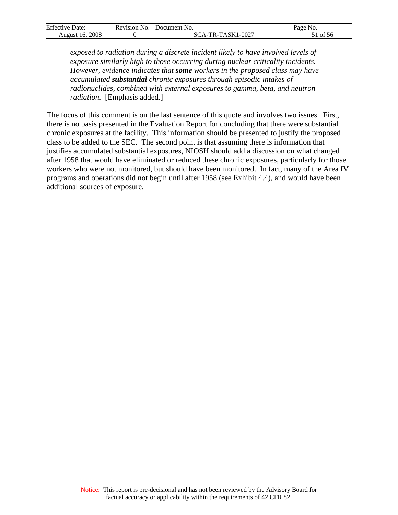| Effective<br>Date: | <b>Revision No.</b> | <b>IDocument</b> No. | Page<br>No. |
|--------------------|---------------------|----------------------|-------------|
| 2008               |                     | -TR-TASK1-0027       | ΟĪ          |
| August 16.         |                     | $\Delta$ -           | 56          |

*exposed to radiation during a discrete incident likely to have involved levels of exposure similarly high to those occurring during nuclear criticality incidents. However, evidence indicates that some workers in the proposed class may have accumulated substantial chronic exposures through episodic intakes of radionuclides, combined with external exposures to gamma, beta, and neutron radiation.* [Emphasis added.]

The focus of this comment is on the last sentence of this quote and involves two issues. First, there is no basis presented in the Evaluation Report for concluding that there were substantial chronic exposures at the facility. This information should be presented to justify the proposed class to be added to the SEC. The second point is that assuming there is information that justifies accumulated substantial exposures, NIOSH should add a discussion on what changed after 1958 that would have eliminated or reduced these chronic exposures, particularly for those workers who were not monitored, but should have been monitored. In fact, many of the Area IV programs and operations did not begin until after 1958 (see Exhibit 4.4), and would have been additional sources of exposure.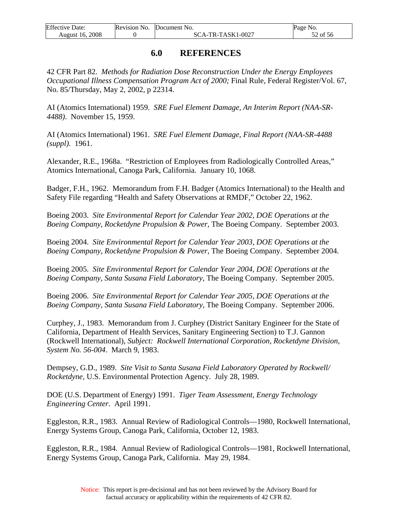<span id="page-52-0"></span>

| <b>Effective Date:</b> | Revision No. | Document No.      | Page No.   |
|------------------------|--------------|-------------------|------------|
| August 16, 2008        |              | SCA-TR-TASK1-0027 | $52$ of 56 |

## **6.0 REFERENCES**

42 CFR Part 82. *Methods for Radiation Dose Reconstruction Under the Energy Employees Occupational Illness Compensation Program Act of 2000;* Final Rule, Federal Register/Vol. 67, No. 85/Thursday, May 2, 2002, p 22314.

AI (Atomics International) 1959. *SRE Fuel Element Damage, An Interim Report (NAA-SR-4488)*. November 15, 1959.

AI (Atomics International) 1961. *SRE Fuel Element Damage, Final Report (NAA-SR-4488 (suppl)*. 1961.

Alexander, R.E., 1968a. "Restriction of Employees from Radiologically Controlled Areas," Atomics International, Canoga Park, California. January 10, 1068.

Badger, F.H., 1962. Memorandum from F.H. Badger (Atomics International) to the Health and Safety File regarding "Health and Safety Observations at RMDF," October 22, 1962.

Boeing 2003. *Site Environmental Report for Calendar Year 2002, DOE Operations at the Boeing Company, Rocketdyne Propulsion & Power*, The Boeing Company. September 2003.

Boeing 2004. *Site Environmental Report for Calendar Year 2003, DOE Operations at the Boeing Company, Rocketdyne Propulsion & Power*, The Boeing Company. September 2004.

Boeing 2005. *Site Environmental Report for Calendar Year 2004, DOE Operations at the Boeing Company, Santa Susana Field Laboratory*, The Boeing Company. September 2005.

Boeing 2006. *Site Environmental Report for Calendar Year 2005, DOE Operations at the Boeing Company, Santa Susana Field Laboratory,* The Boeing Company. September 2006.

Curphey, J., 1983. Memorandum from J. Curphey (District Sanitary Engineer for the State of California, Department of Health Services, Sanitary Engineering Section) to T.J. Gannon (Rockwell International), *Subject: Rockwell International Corporation, Rocketdyne Division, System No. 56-004*. March 9, 1983.

Dempsey, G.D., 1989. *Site Visit to Santa Susana Field Laboratory Operated by Rockwell/ Rocketdyne,* U.S. Environmental Protection Agency. July 28, 1989.

DOE (U.S. Department of Energy) 1991. *Tiger Team Assessment, Energy Technology Engineering Center*. April 1991.

Eggleston, R.R., 1983. Annual Review of Radiological Controls—1980, Rockwell International, Energy Systems Group, Canoga Park, California, October 12, 1983.

Eggleston, R.R., 1984. Annual Review of Radiological Controls—1981, Rockwell International, Energy Systems Group, Canoga Park, California. May 29, 1984.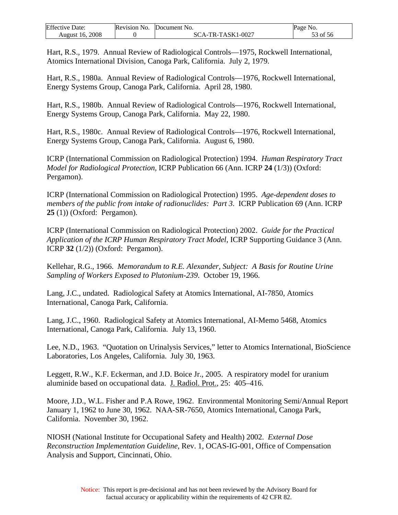| Effective<br>Date: | Revision No. | <b>Document</b> No.                | Page<br>NO.                      |
|--------------------|--------------|------------------------------------|----------------------------------|
| 2008<br>August 16. |              | -TASK1-0027<br>$TR-$<br>$\Delta$ - | $\sim$ $\sim$ $\sim$<br>ΟĪ<br>56 |

Hart, R.S., 1979. Annual Review of Radiological Controls—1975, Rockwell International, Atomics International Division, Canoga Park, California. July 2, 1979.

Hart, R.S., 1980a. Annual Review of Radiological Controls—1976, Rockwell International, Energy Systems Group, Canoga Park, California. April 28, 1980.

Hart, R.S., 1980b. Annual Review of Radiological Controls—1976, Rockwell International, Energy Systems Group, Canoga Park, California. May 22, 1980.

Hart, R.S., 1980c. Annual Review of Radiological Controls—1976, Rockwell International, Energy Systems Group, Canoga Park, California. August 6, 1980.

ICRP (International Commission on Radiological Protection) 1994. *Human Respiratory Tract Model for Radiological Protection,* ICRP Publication 66 (Ann. ICRP **24** (1/3)) (Oxford: Pergamon).

ICRP (International Commission on Radiological Protection) 1995. *Age-dependent doses to members of the public from intake of radionuclides: Part 3*. ICRP Publication 69 (Ann. ICRP **25** (1)) (Oxford: Pergamon).

ICRP (International Commission on Radiological Protection) 2002. *Guide for the Practical Application of the ICRP Human Respiratory Tract Model*, ICRP Supporting Guidance 3 (Ann. ICRP **32** (1/2)) (Oxford: Pergamon).

Kellehar, R.G., 1966. *Memorandum to R.E. Alexander, Subject: A Basis for Routine Urine Sampling of Workers Exposed to Plutonium-239*. October 19, 1966.

Lang, J.C., undated. Radiological Safety at Atomics International, AI-7850, Atomics International, Canoga Park, California.

Lang, J.C., 1960. Radiological Safety at Atomics International, AI-Memo 5468, Atomics International, Canoga Park, California. July 13, 1960.

Lee, N.D., 1963. "Quotation on Urinalysis Services," letter to Atomics International, BioScience Laboratories, Los Angeles, California. July 30, 1963.

Leggett, R.W., K.F. Eckerman, and J.D. Boice Jr., 2005. A respiratory model for uranium aluminide based on occupational data. J. Radiol. Prot., 25: 405–416.

Moore, J.D., W.L. Fisher and P.A Rowe, 1962. Environmental Monitoring Semi/Annual Report January 1, 1962 to June 30, 1962. NAA-SR-7650, Atomics International, Canoga Park, California. November 30, 1962.

NIOSH (National Institute for Occupational Safety and Health) 2002. *External Dose Reconstruction Implementation Guideline*, Rev. 1, OCAS-IG-001, Office of Compensation Analysis and Support, Cincinnati, Ohio.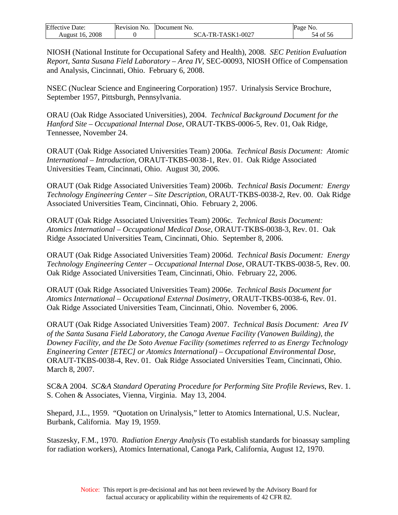| Effective          | Revision | Document No.       | Page             |
|--------------------|----------|--------------------|------------------|
| $\Delta$ Date:     | NO.      |                    | N <sub>O</sub> . |
| 2008<br>August 16. |          | -TASK1-0027<br>TR- | -56<br>ОI<br>١Δ  |

NIOSH (National Institute for Occupational Safety and Health), 2008. *SEC Petition Evaluation Report, Santa Susana Field Laboratory – Area IV*, SEC-00093, NIOSH Office of Compensation and Analysis, Cincinnati, Ohio. February 6, 2008.

NSEC (Nuclear Science and Engineering Corporation) 1957. Urinalysis Service Brochure, September 1957, Pittsburgh, Pennsylvania.

ORAU (Oak Ridge Associated Universities), 2004. *Technical Background Document for the Hanford Site – Occupational Internal Dose*, ORAUT-TKBS-0006-5, Rev. 01, Oak Ridge, Tennessee, November 24.

ORAUT (Oak Ridge Associated Universities Team) 2006a. *Technical Basis Document: Atomic International – Introduction*, ORAUT-TKBS-0038-1, Rev. 01. Oak Ridge Associated Universities Team, Cincinnati, Ohio. August 30, 2006.

ORAUT (Oak Ridge Associated Universities Team) 2006b. *Technical Basis Document: Energy Technology Engineering Center – Site Description*, ORAUT-TKBS-0038-2, Rev. 00. Oak Ridge Associated Universities Team, Cincinnati, Ohio. February 2, 2006.

ORAUT (Oak Ridge Associated Universities Team) 2006c. *Technical Basis Document: Atomics International – Occupational Medical Dose*, ORAUT-TKBS-0038-3, Rev. 01. Oak Ridge Associated Universities Team, Cincinnati, Ohio. September 8, 2006.

ORAUT (Oak Ridge Associated Universities Team) 2006d. *Technical Basis Document: Energy Technology Engineering Center – Occupational Internal Dose*, ORAUT-TKBS-0038-5, Rev. 00. Oak Ridge Associated Universities Team, Cincinnati, Ohio. February 22, 2006.

ORAUT (Oak Ridge Associated Universities Team) 2006e. *Technical Basis Document for Atomics International – Occupational External Dosimetry*, ORAUT-TKBS-0038-6, Rev. 01. Oak Ridge Associated Universities Team, Cincinnati, Ohio. November 6, 2006.

ORAUT (Oak Ridge Associated Universities Team) 2007. *Technical Basis Document: Area IV of the Santa Susana Field Laboratory, the Canoga Avenue Facility (Vanowen Building), the Downey Facility, and the De Soto Avenue Facility (sometimes referred to as Energy Technology Engineering Center [ETEC] or Atomics International) – Occupational Environmental Dose*, ORAUT-TKBS-0038-4, Rev. 01.Oak Ridge Associated Universities Team, Cincinnati, Ohio. March 8, 2007.

SC&A 2004. *SC&A Standard Operating Procedure for Performing Site Profile Reviews*, Rev. 1. S. Cohen & Associates, Vienna, Virginia. May 13, 2004.

Shepard, J.L., 1959. "Quotation on Urinalysis," letter to Atomics International, U.S. Nuclear, Burbank, California. May 19, 1959.

Staszesky, F.M., 1970. *Radiation Energy Analysis* (To establish standards for bioassay sampling for radiation workers), Atomics International, Canoga Park, California, August 12, 1970.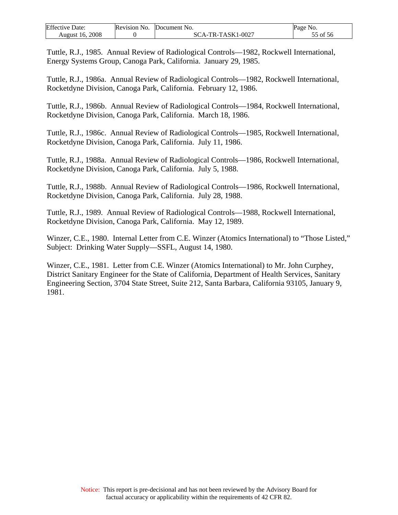| <b>Effective Date:</b> | Revision No. | Document No.      | Page No. |
|------------------------|--------------|-------------------|----------|
| 2008<br>August 16.     |              | SCA-TR-TASK1-0027 | 55 of 56 |

Tuttle, R.J., 1985. Annual Review of Radiological Controls—1982, Rockwell International, Energy Systems Group, Canoga Park, California. January 29, 1985.

Tuttle, R.J., 1986a. Annual Review of Radiological Controls—1982, Rockwell International, Rocketdyne Division, Canoga Park, California. February 12, 1986.

Tuttle, R.J., 1986b. Annual Review of Radiological Controls—1984, Rockwell International, Rocketdyne Division, Canoga Park, California. March 18, 1986.

Tuttle, R.J., 1986c. Annual Review of Radiological Controls—1985, Rockwell International, Rocketdyne Division, Canoga Park, California. July 11, 1986.

Tuttle, R.J., 1988a. Annual Review of Radiological Controls—1986, Rockwell International, Rocketdyne Division, Canoga Park, California. July 5, 1988.

Tuttle, R.J., 1988b. Annual Review of Radiological Controls—1986, Rockwell International, Rocketdyne Division, Canoga Park, California. July 28, 1988.

Tuttle, R.J., 1989. Annual Review of Radiological Controls—1988, Rockwell International, Rocketdyne Division, Canoga Park, California. May 12, 1989.

Winzer, C.E., 1980. Internal Letter from C.E. Winzer (Atomics International) to "Those Listed," Subject: Drinking Water Supply—SSFL, August 14, 1980.

Winzer, C.E., 1981. Letter from C.E. Winzer (Atomics International) to Mr. John Curphey, District Sanitary Engineer for the State of California, Department of Health Services, Sanitary Engineering Section, 3704 State Street, Suite 212, Santa Barbara, California 93105, January 9, 1981.